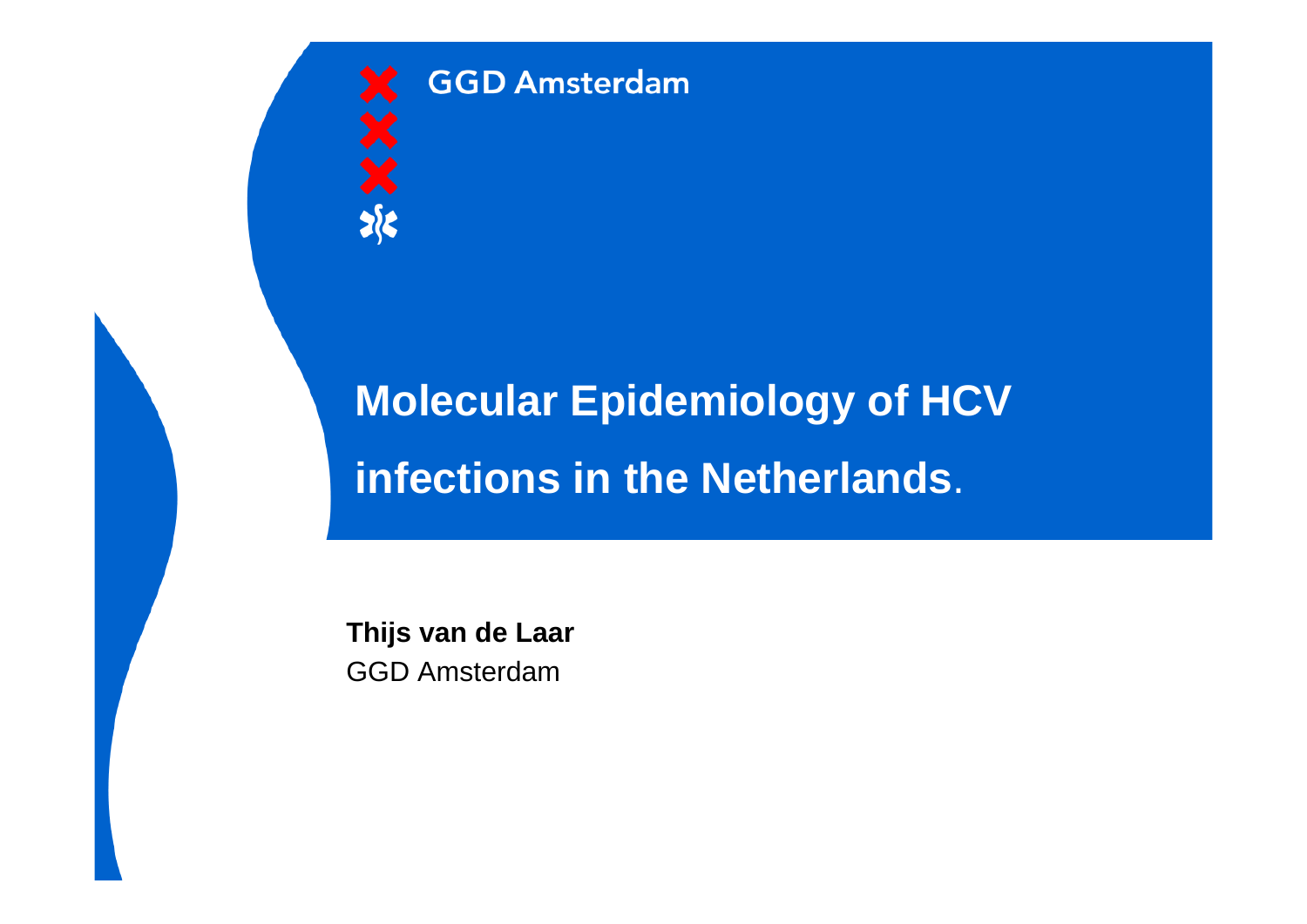

**GGD Amsterdam** 

# **Molecular Epidemiology of HCV infections in the Netherlands**.

**Thijs van de Laar** GGD Amsterdam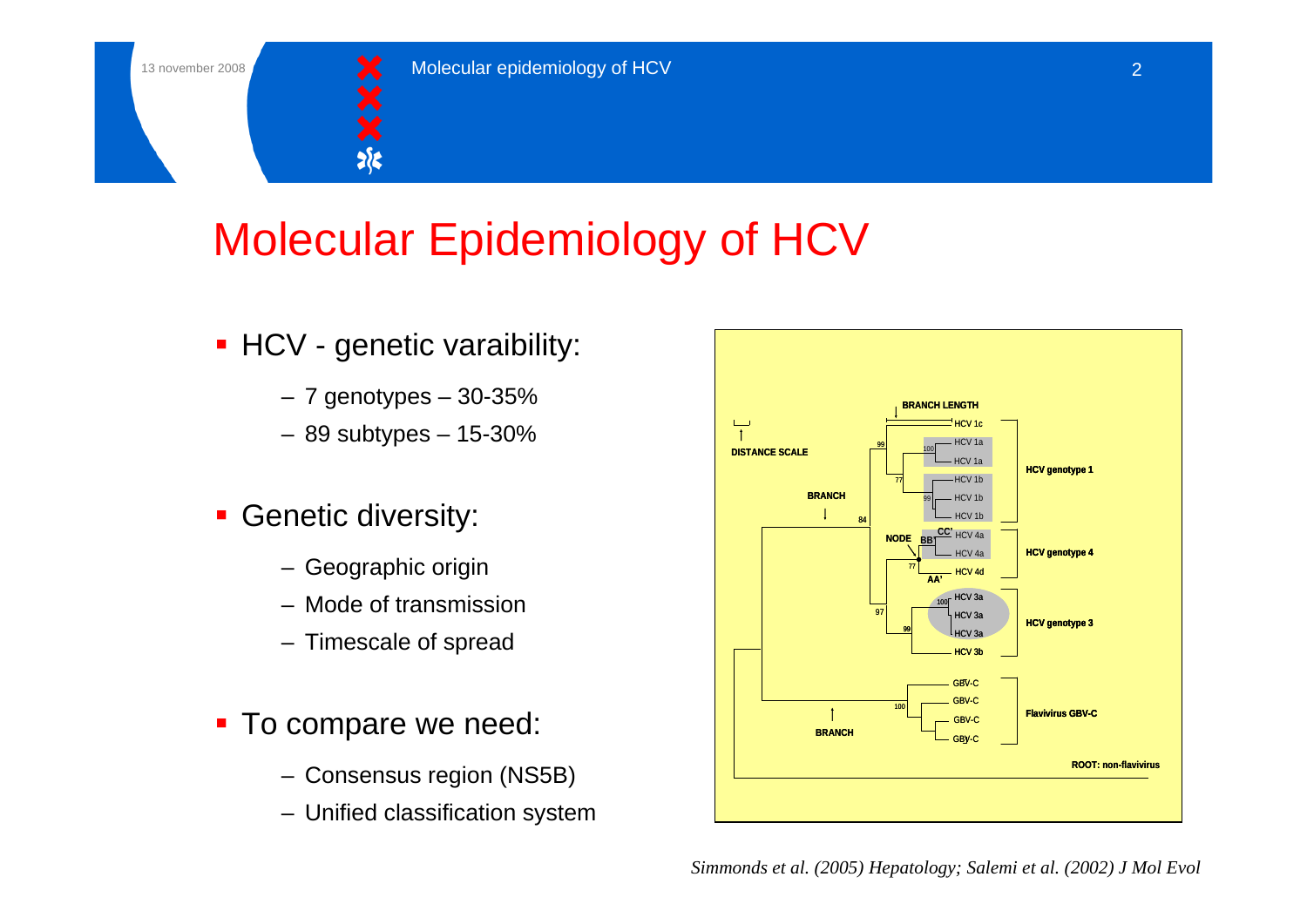

# Molecular Epidemiology of HCV

- **HCV** genetic varaibility:
	- $-7$  genotypes  $-30-35%$
	- 89 subtypes 15-30%
- **Genetic diversity:** 
	- Geographic origin
	- Mode of transmission
	- Timescale of spread
- **To compare we need:** 
	- Consensus region (NS5B)
	- Unified classification system



*Simmonds et al. (2005) Hepatology; Salemi et al. (2002) J Mol Evol*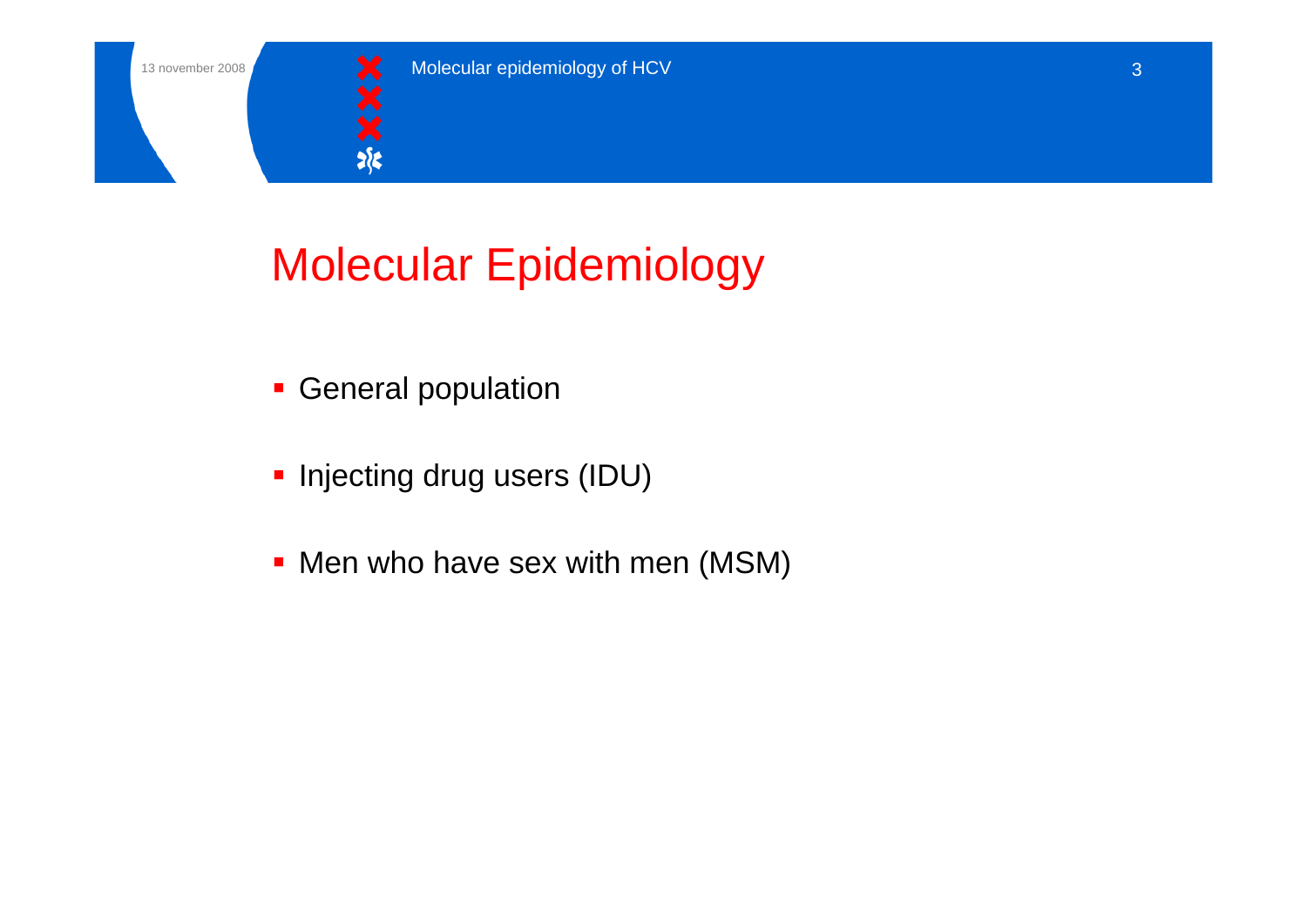

# Molecular Epidemiology

- **General population**
- **Injecting drug users (IDU)**
- **Men who have sex with men (MSM)**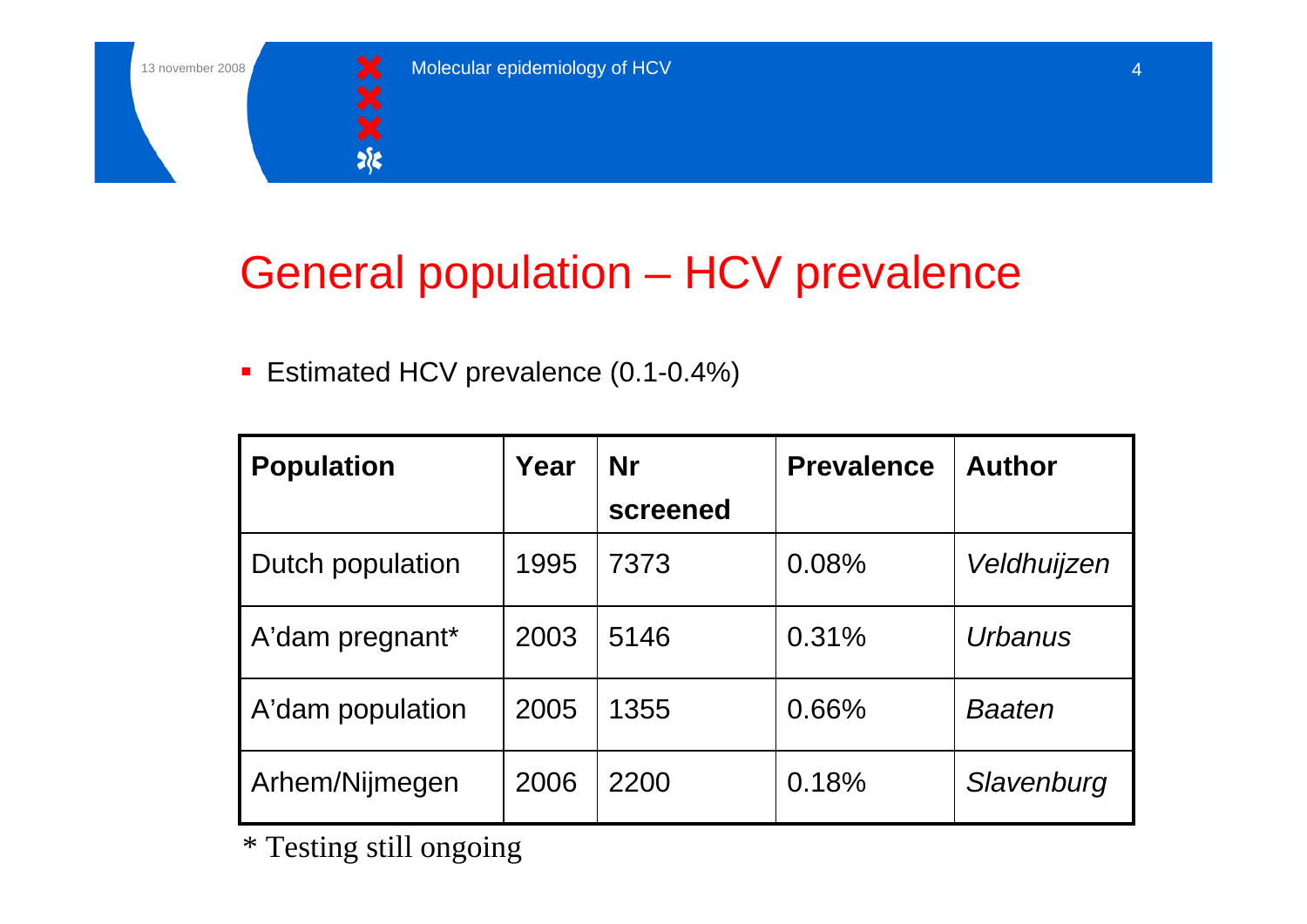

# General population – HCV prevalence

**Estimated HCV prevalence (0.1-0.4%)** 

| <b>Population</b> | Year | <b>Nr</b> | <b>Prevalence</b> | <b>Author</b> |
|-------------------|------|-----------|-------------------|---------------|
|                   |      | screened  |                   |               |
| Dutch population  | 1995 | 7373      | 0.08%             | Veldhuijzen   |
| A'dam pregnant*   | 2003 | 5146      | 0.31%             | Urbanus       |
| A'dam population  | 2005 | 1355      | 0.66%             | <b>Baaten</b> |
| Arhem/Nijmegen    | 2006 | 2200      | 0.18%             | Slavenburg    |

\* Testing still ongoing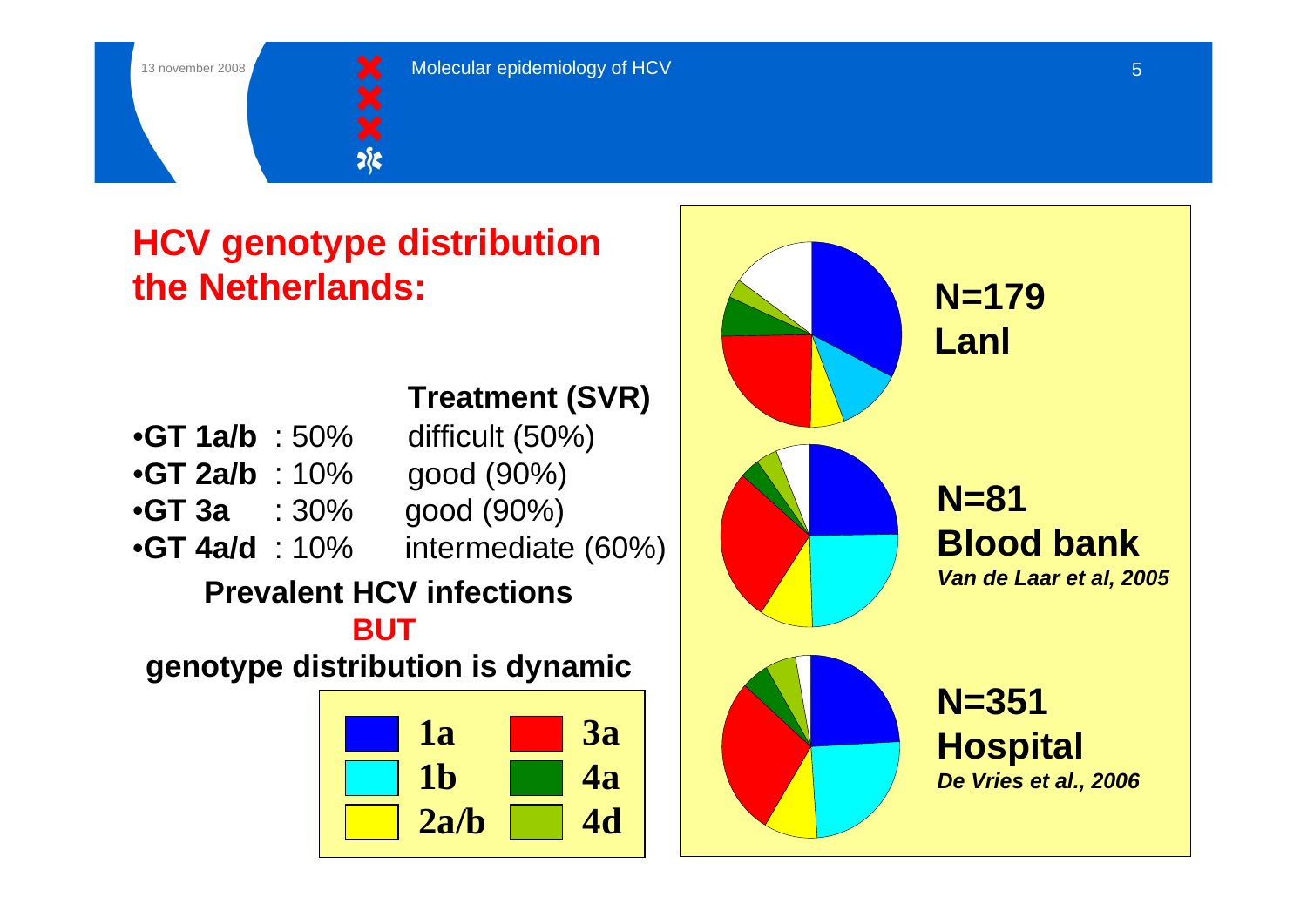

## **HCV genotype distribution the Netherlands:**

#### **Treatment (SVR)**

| • $GT$ 1a/b : 50% | difficult (50%)    |
|-------------------|--------------------|
| • $GT$ 2a/b : 10% | good (90%)         |
| $\therefore 30\%$ | good (90%)         |
| • $GT$ 4a/d : 10% | intermediate (60%) |
|                   |                    |

### **Prevalent HCV infections**

**BUT** 

**genotype distribution is dynamic**



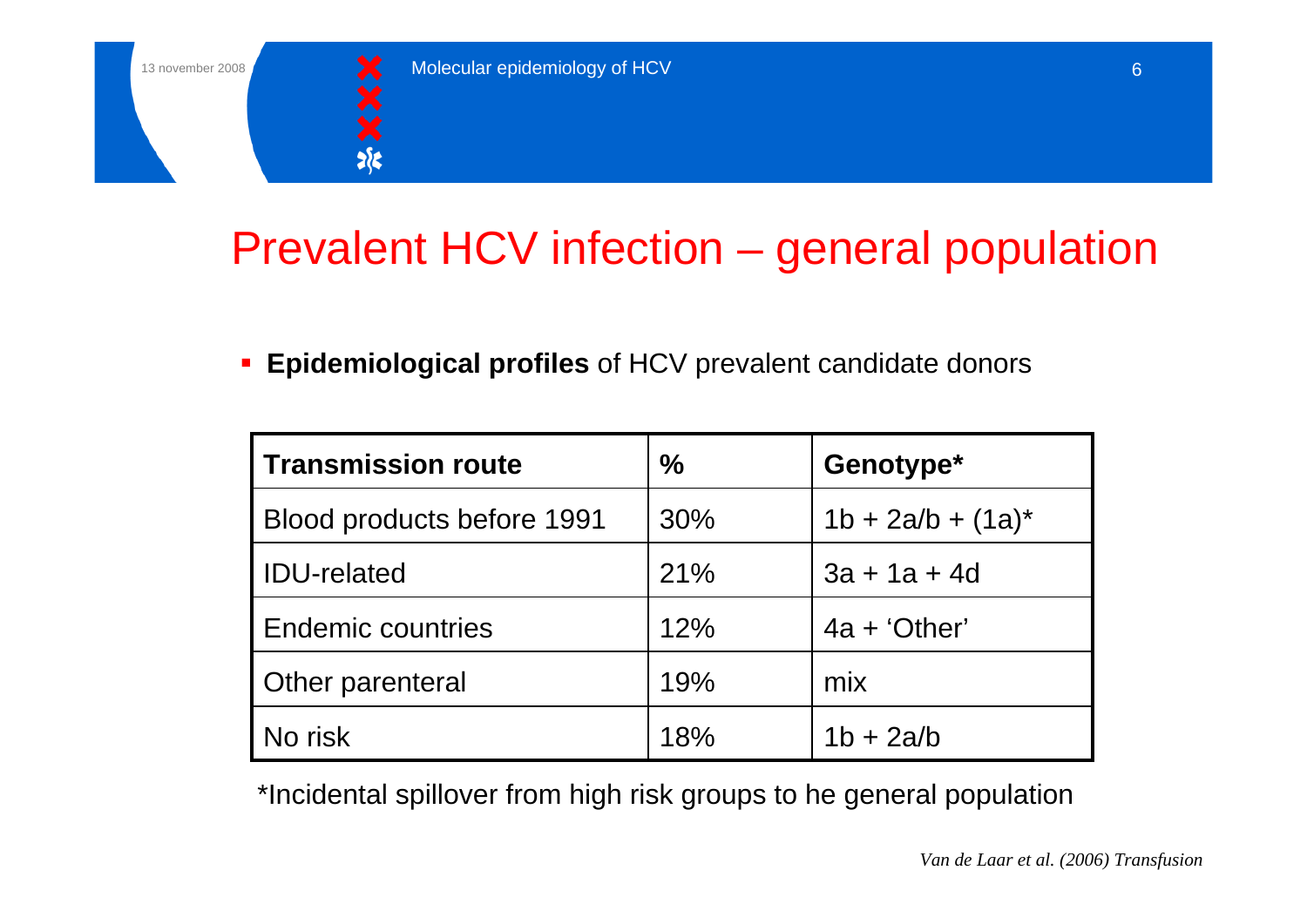

# Prevalent HCV infection – general population

 $\blacksquare$ **Epidemiological profiles** of HCV prevalent candidate donors

| Transmission route         | $\%$ | Genotype*            |
|----------------------------|------|----------------------|
| Blood products before 1991 | 30%  | $1b + 2a/b + (1a)^*$ |
| <b>IDU-related</b>         | 21%  | $3a + 1a + 4d$       |
| <b>Endemic countries</b>   | 12%  | $4a + 'Other'$       |
| <b>Other parenteral</b>    | 19%  | mix                  |
| No risk                    | 18%  | $1b + 2a/b$          |

\*Incidental spillover from high risk groups to he general population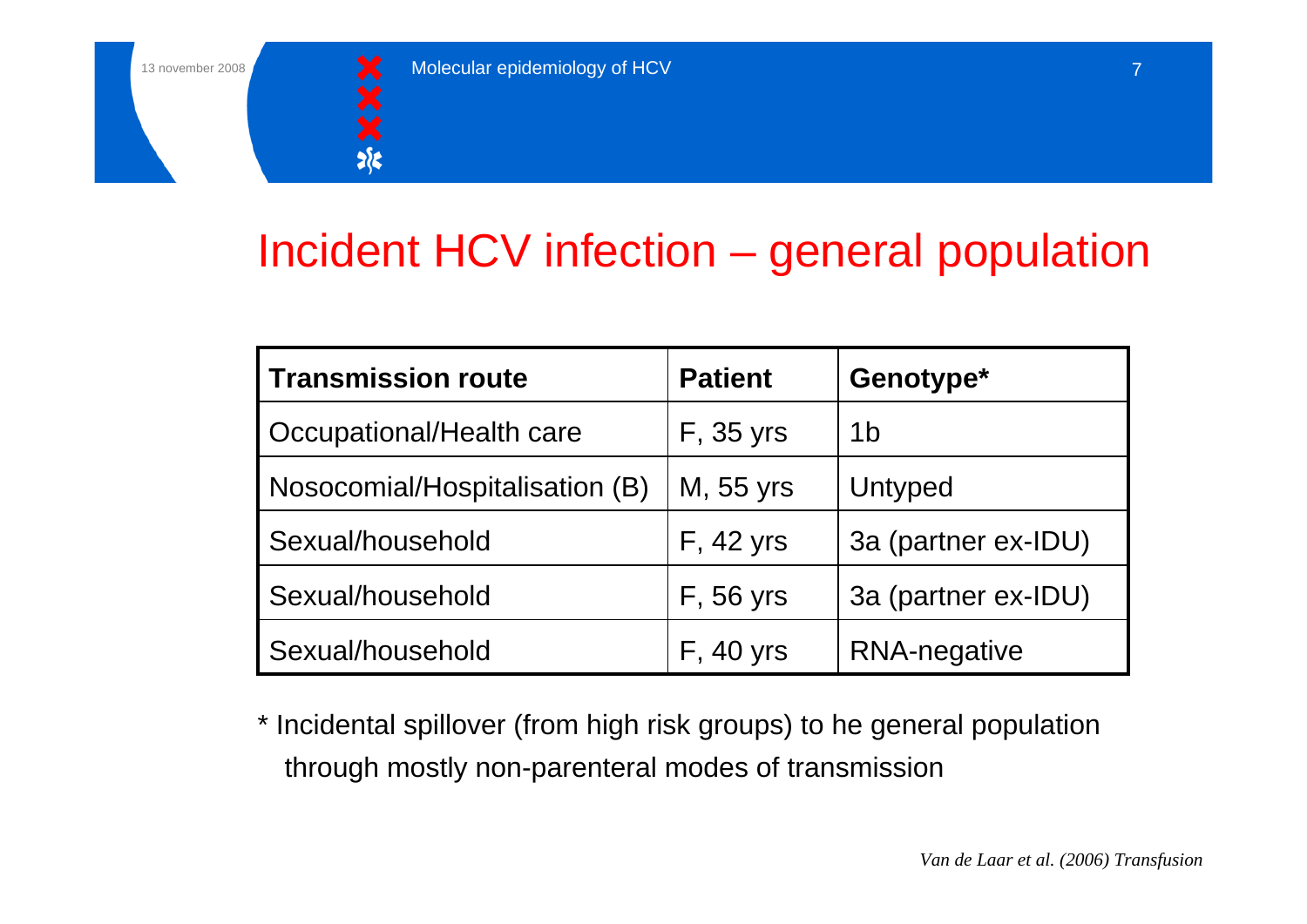

# Incident HCV infection – general population

| <b>Transmission route</b>       | <b>Patient</b>    | Genotype*           |
|---------------------------------|-------------------|---------------------|
| <b>Occupational/Health care</b> | <b>F</b> , 35 yrs | 1 <sub>b</sub>      |
| Nosocomial/Hospitalisation (B)  | M, 55 yrs         | Untyped             |
| Sexual/household                | <b>F</b> , 42 yrs | 3a (partner ex-IDU) |
| Sexual/household                | <b>F, 56 yrs</b>  | 3a (partner ex-IDU) |
| Sexual/household                | <b>F</b> , 40 yrs | <b>RNA-negative</b> |

\* Incidental spillover (from high risk groups) to he general population through mostly non-parenteral modes of transmission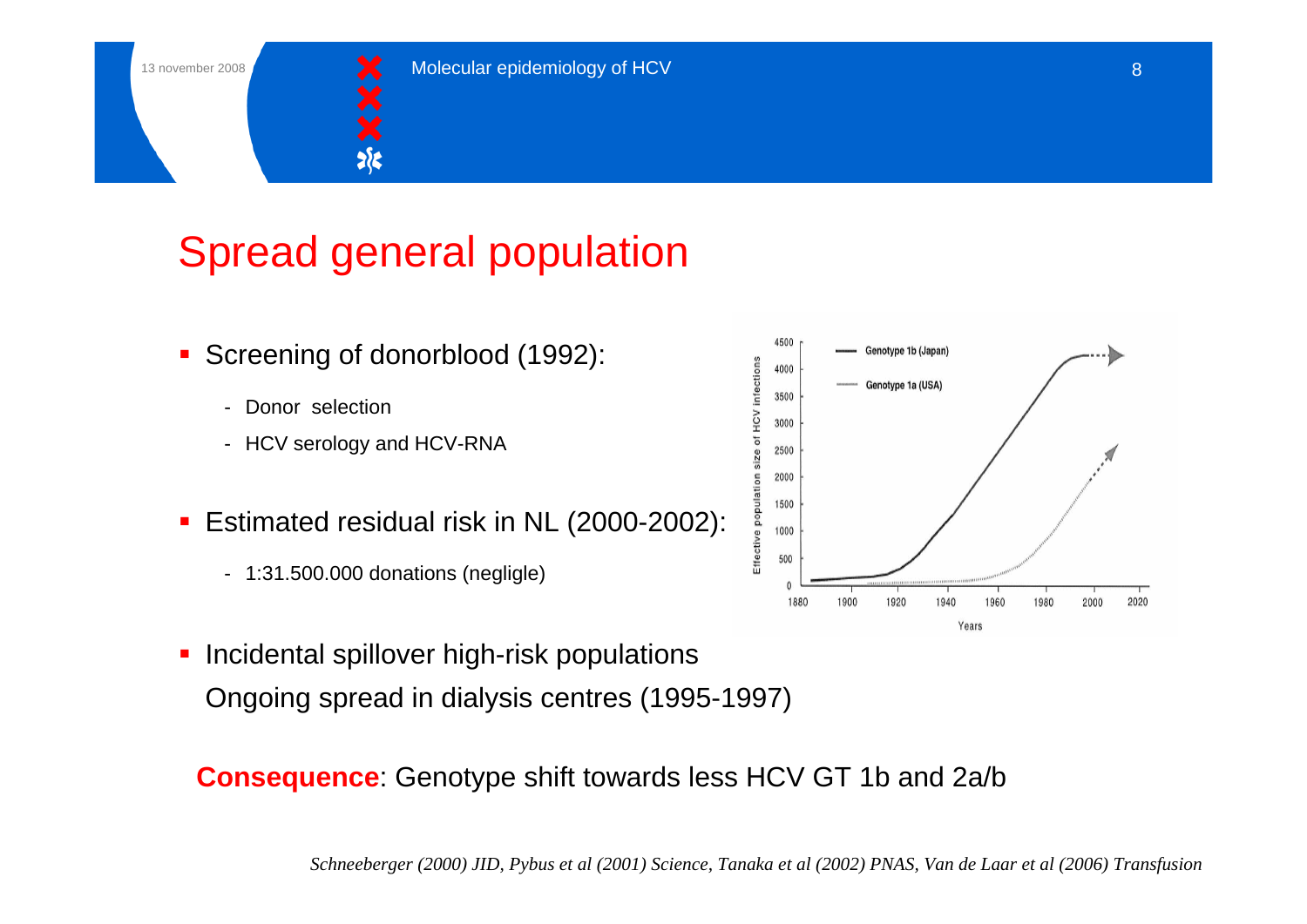

# Spread general population

- $\blacksquare$  Screening of donorblood (1992):
	- Donor selection
	- HCV serology and HCV-RNA
- $\blacksquare$  Estimated residual risk in NL (2000-2002):
	- 1:31.500.000 donations (negligle)
- $\blacksquare$  Incidental spillover high-risk populations Ongoing spread in dialysis centres (1995-1997)

**Consequence**: Genotype shift towards less HCV GT 1b and 2a/b

*Schneeberger (2000) JID, Pybus et al (2001) Science, Tanaka et al (2002) PNAS, Van de Laar et al (2006) Transfusion*

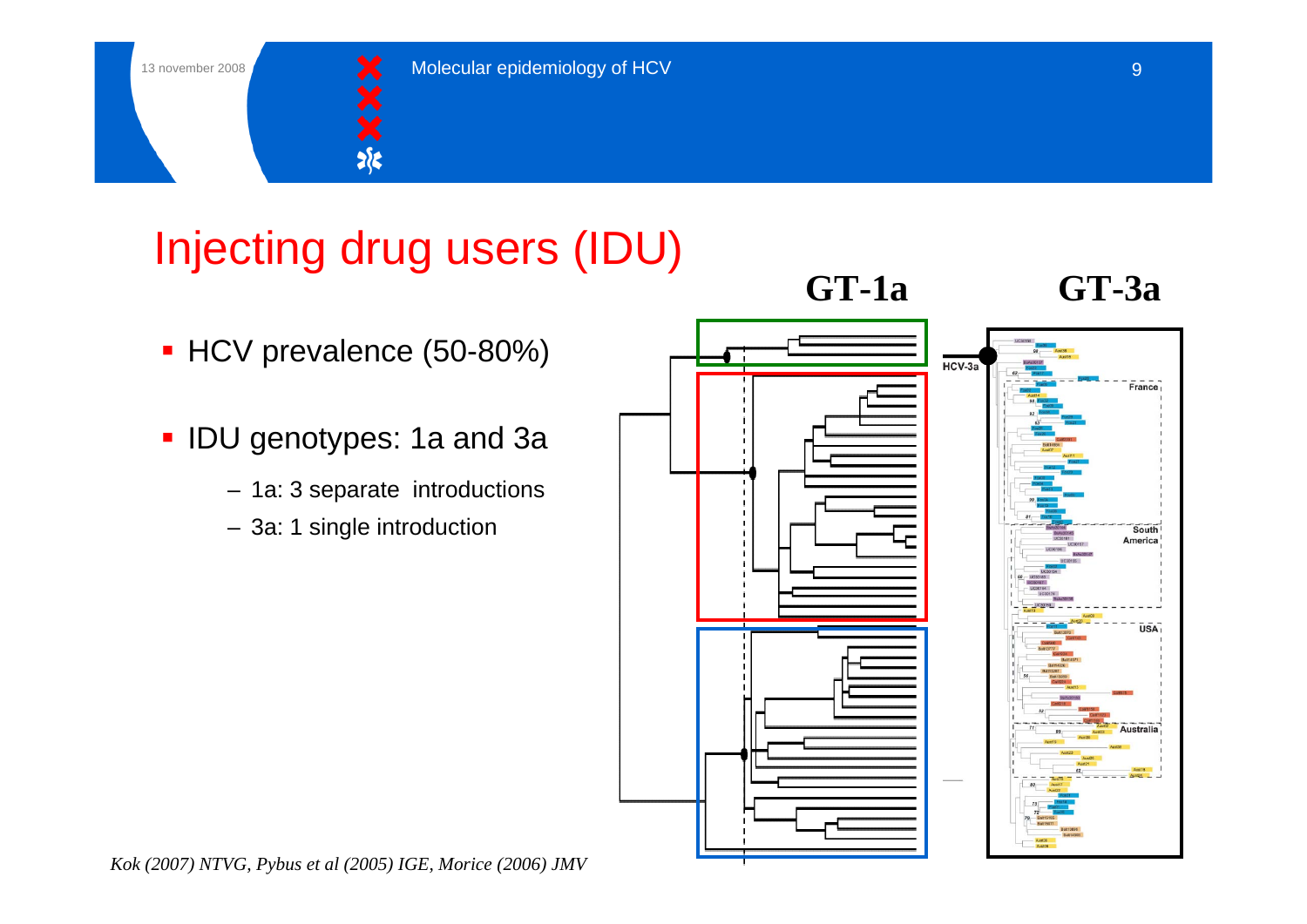

# Injecting drug users (IDU)

- HCV prevalence (50-80%)
- $\blacksquare$  IDU genotypes: 1a and 3a
	- 1a: 3 separate introductions
	- 3a: 1 single introduction

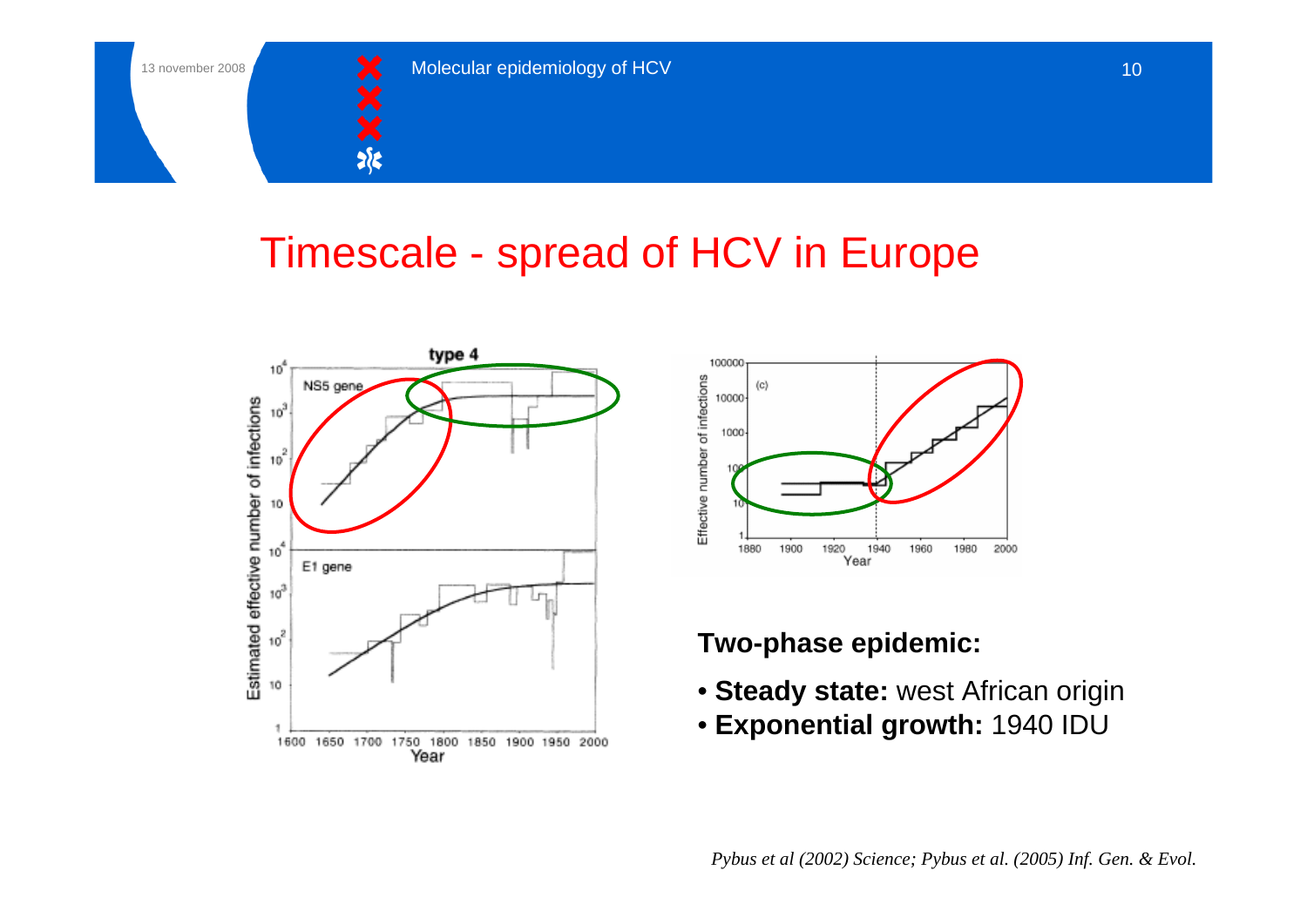

## Timescale - spread of HCV in Europe





#### **Two-phase epidemic:**

- **Steady state:** west African origin
- **Exponential growth:** 1940 IDU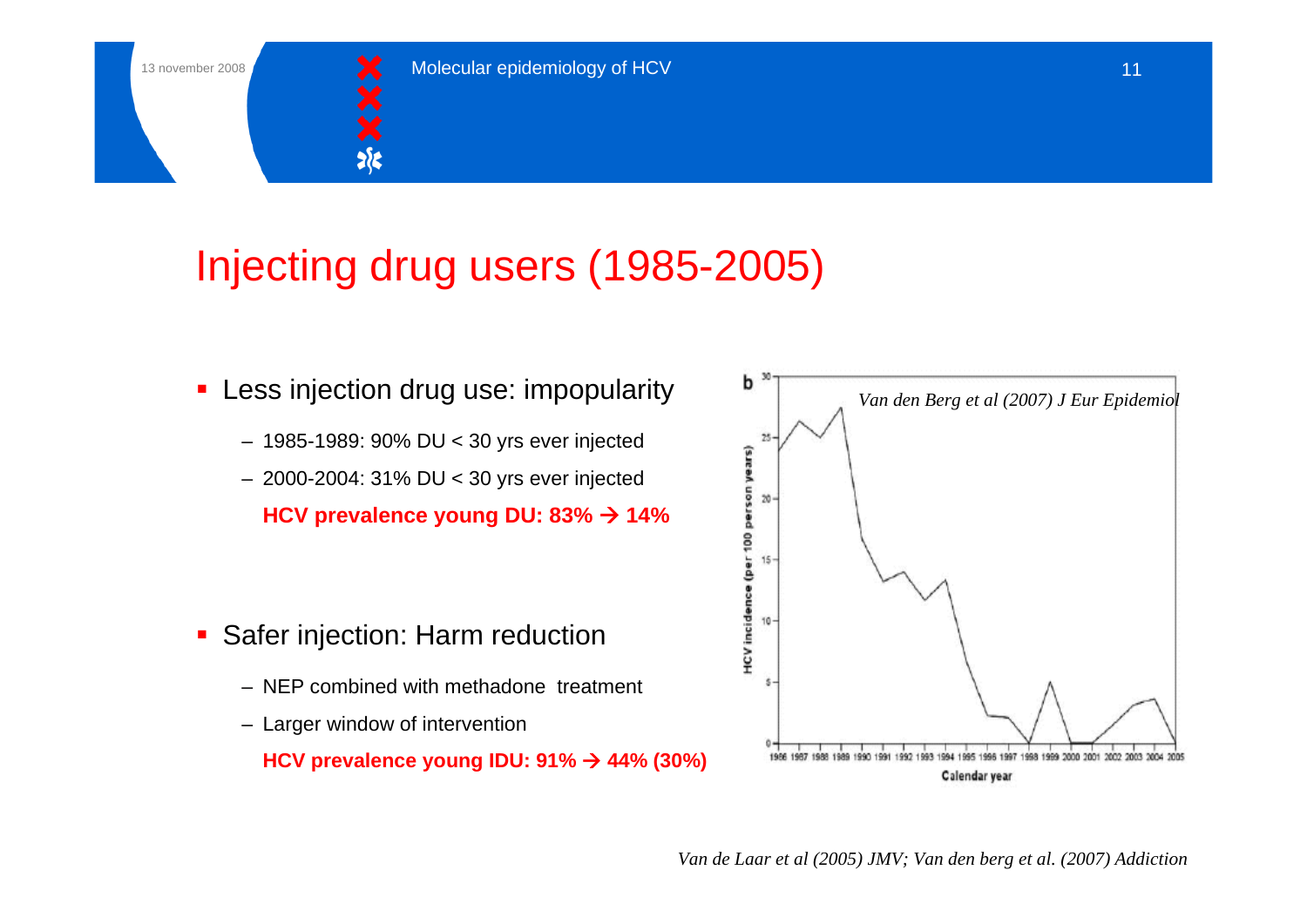![](_page_10_Picture_1.jpeg)

# Injecting drug users (1985-2005)

- **-** Less injection drug use: impopularity
	- 1985-1989: 90% DU < 30 yrs ever injected
	- 2000-2004: 31% DU < 30 yrs ever injected

**HCV prevalence young DU: 83% → 14%** 

- **Safer injection: Harm reduction** 
	- NEP combined with methadone treatment
	- Larger window of intervention

**HCV prevalence young IDU: 91% → 44% (30%)** 

![](_page_10_Figure_12.jpeg)

*Van de Laar et al (2005) JMV; Van den berg et al. (2007) Addiction*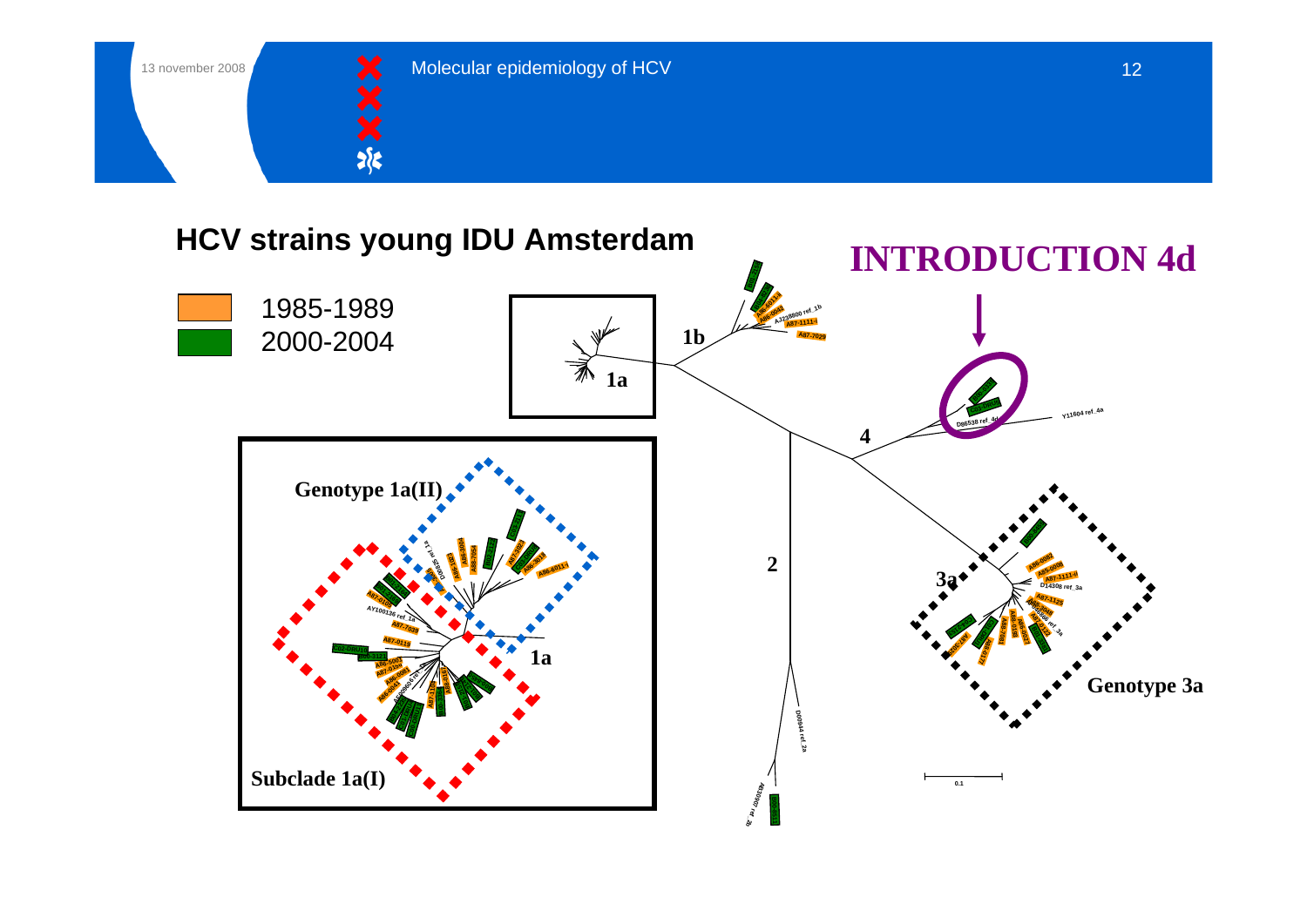![](_page_11_Picture_0.jpeg)

![](_page_11_Picture_1.jpeg)

#### **HCV strains young IDU Amsterdam**

![](_page_11_Figure_4.jpeg)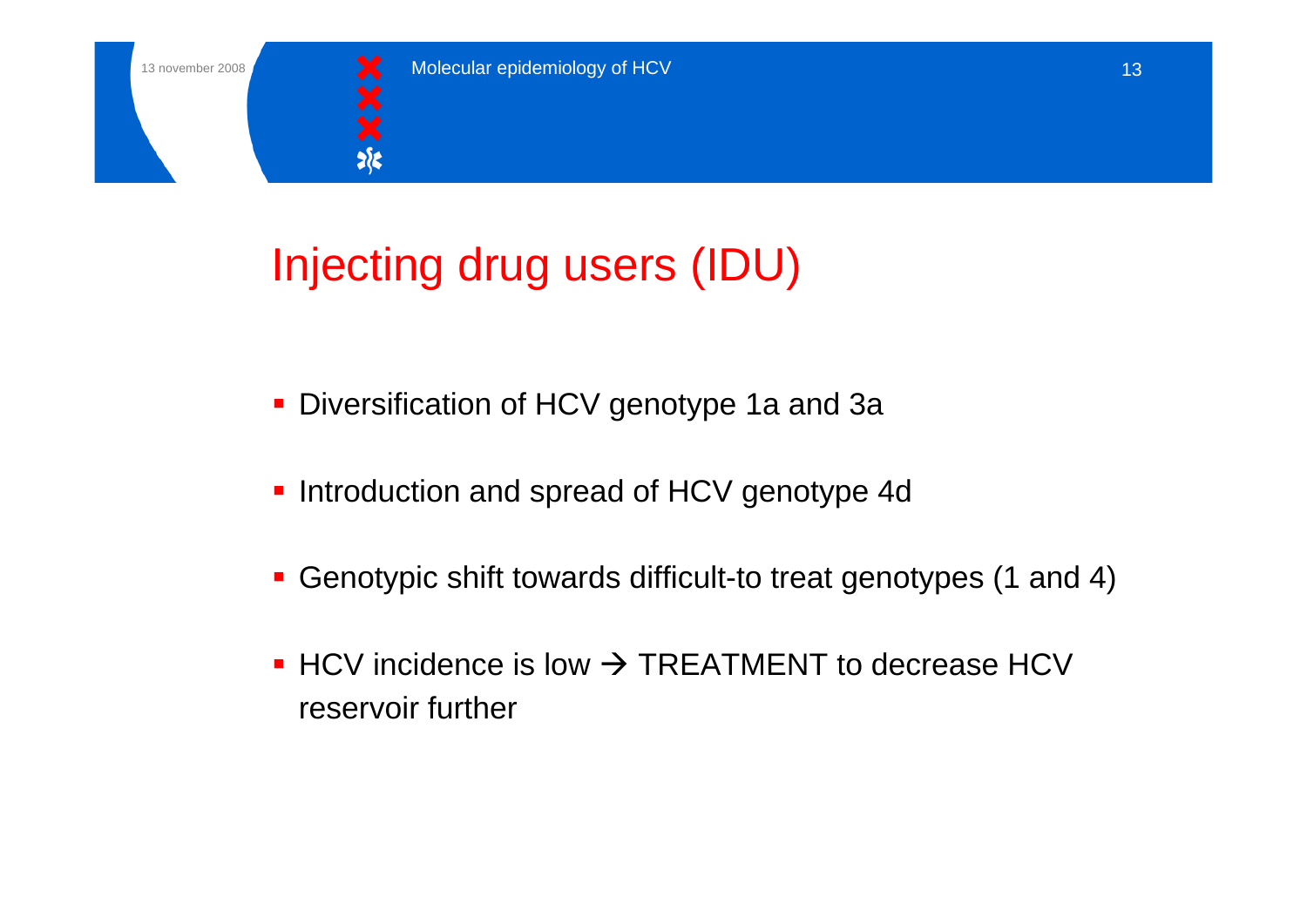![](_page_12_Picture_1.jpeg)

# Injecting drug users (IDU)

- Diversification of HCV genotype 1a and 3a
- **Introduction and spread of HCV genotype 4d**
- Genotypic shift towards difficult-to treat genotypes (1 and 4)
- $\blacksquare$  HCV incidence is low  $\rightarrow$  TREATMENT to decrease HCV reservoir further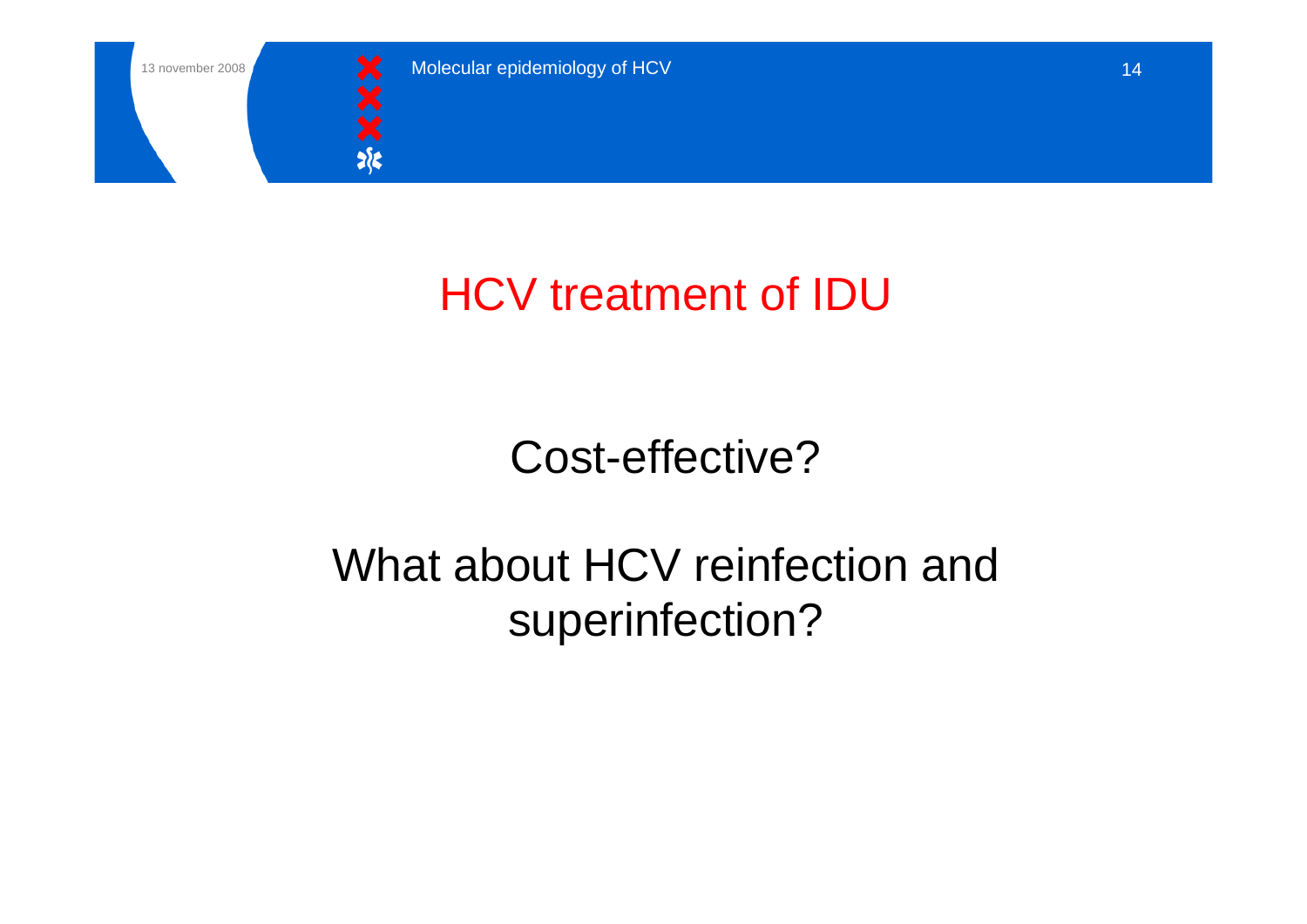![](_page_13_Picture_0.jpeg)

![](_page_13_Picture_1.jpeg)

# HCV treatment of IDU

# Cost-effective?

# What about HCV reinfection and superinfection?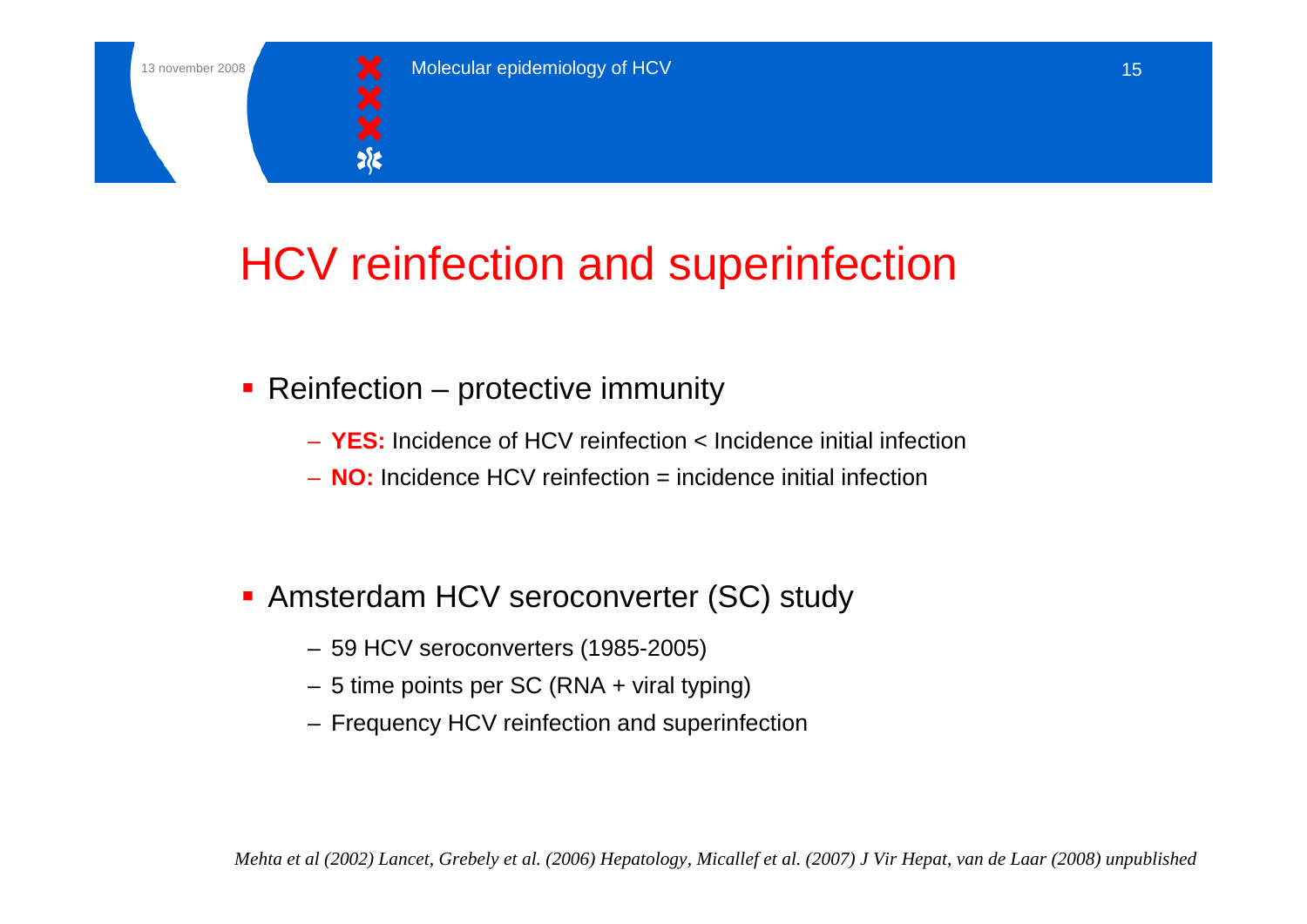![](_page_14_Picture_1.jpeg)

# HCV reinfection and superinfection

- Reinfection protective immunity
	- **YES:** Incidence of HCV reinfection < Incidence initial infection
	- **NO:** Incidence HCV reinfection = incidence initial infection

- Amsterdam HCV seroconverter (SC) study
	- 59 HCV seroconverters (1985-2005)
	- 5 time points per SC (RNA + viral typing)
	- Frequency HCV reinfection and superinfection

*Mehta et al (2002) Lancet, Grebely et al. (2006) Hepatology, Micallef et al. (2007) J Vir Hepat, van de Laar (2008) unpublished*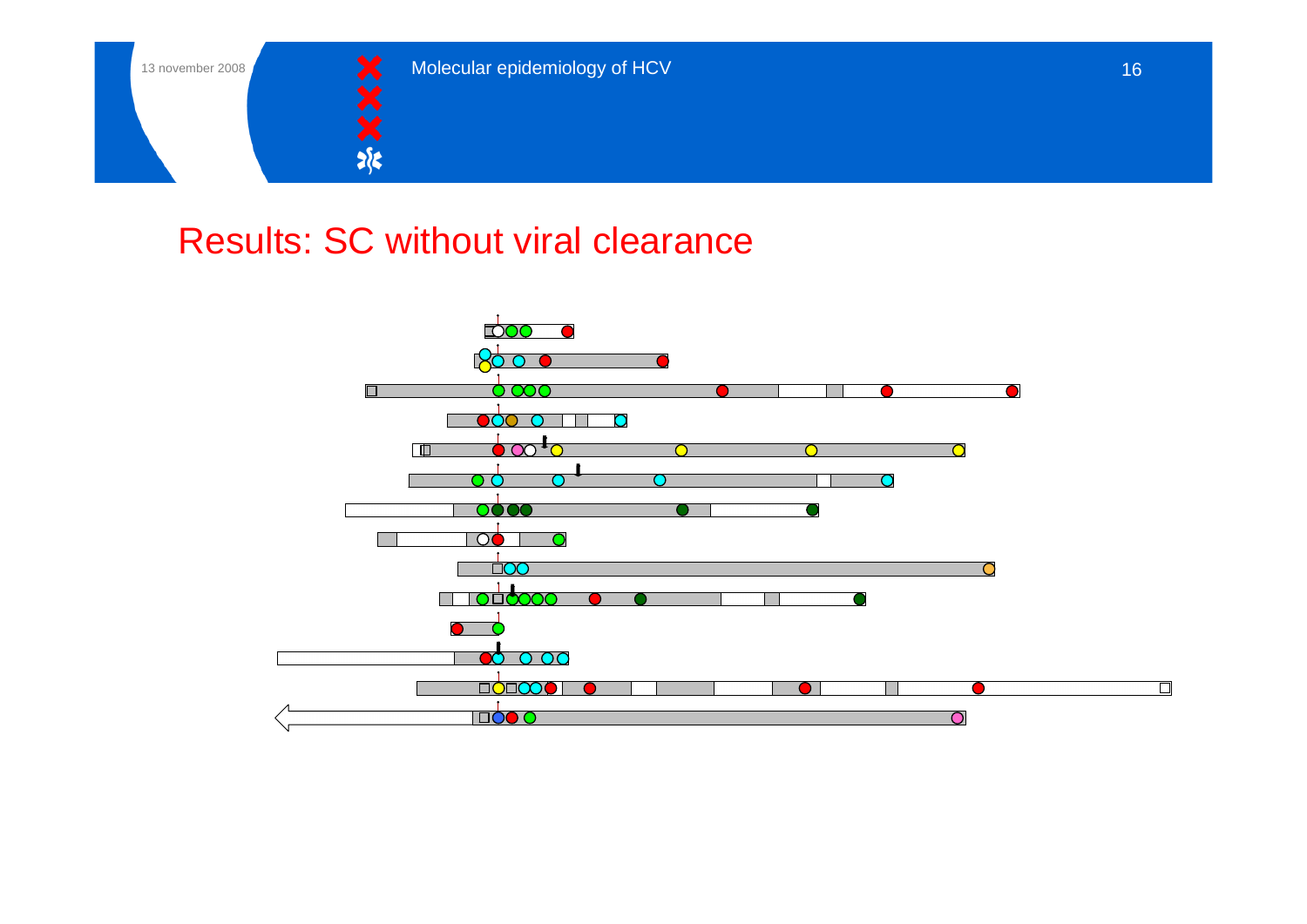![](_page_15_Picture_0.jpeg)

![](_page_15_Picture_1.jpeg)

#### Results: SC without viral clearance

![](_page_15_Figure_4.jpeg)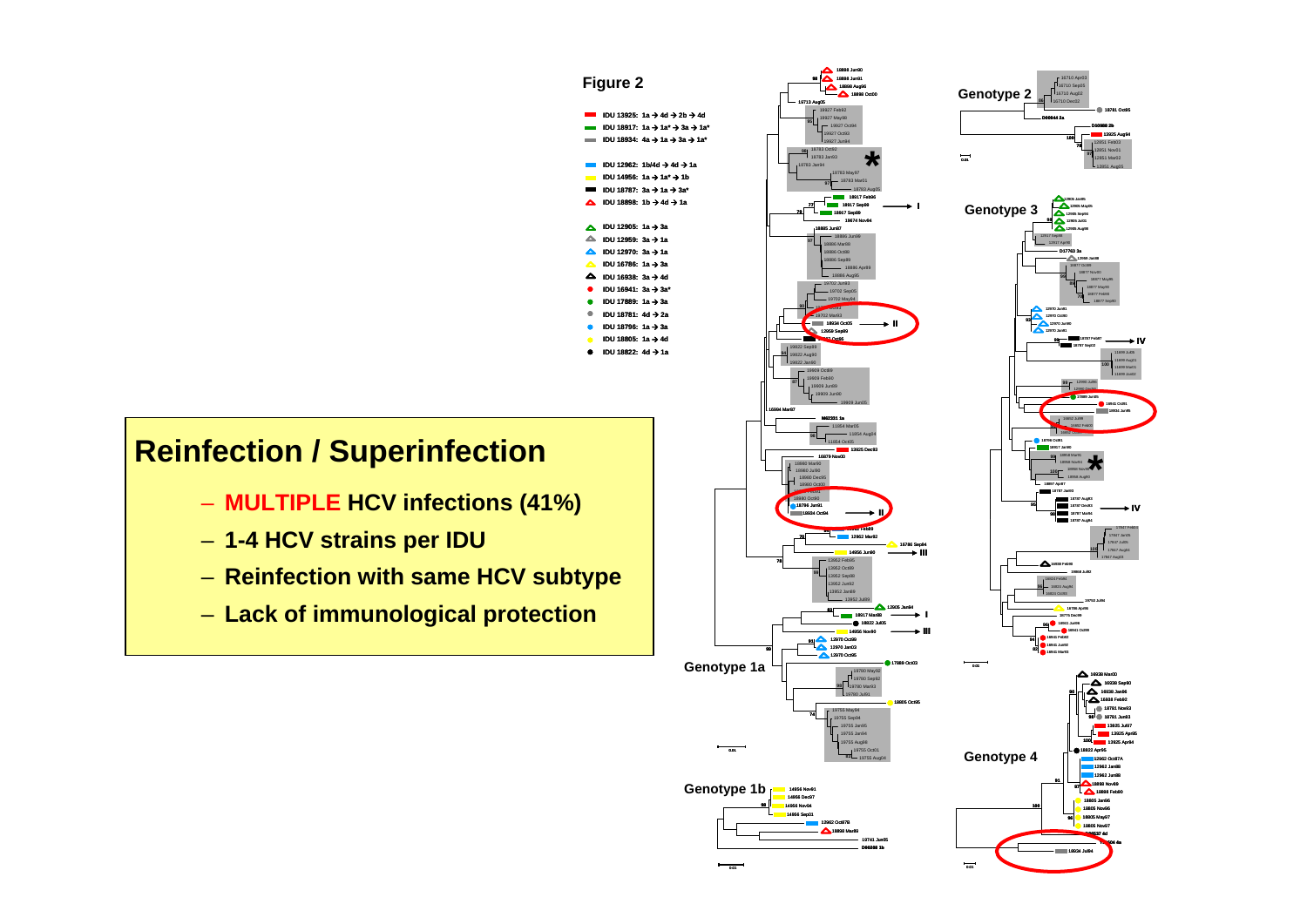![](_page_16_Figure_0.jpeg)

 $rac{1}{0.01}$ 

 $\overline{\phantom{0}}$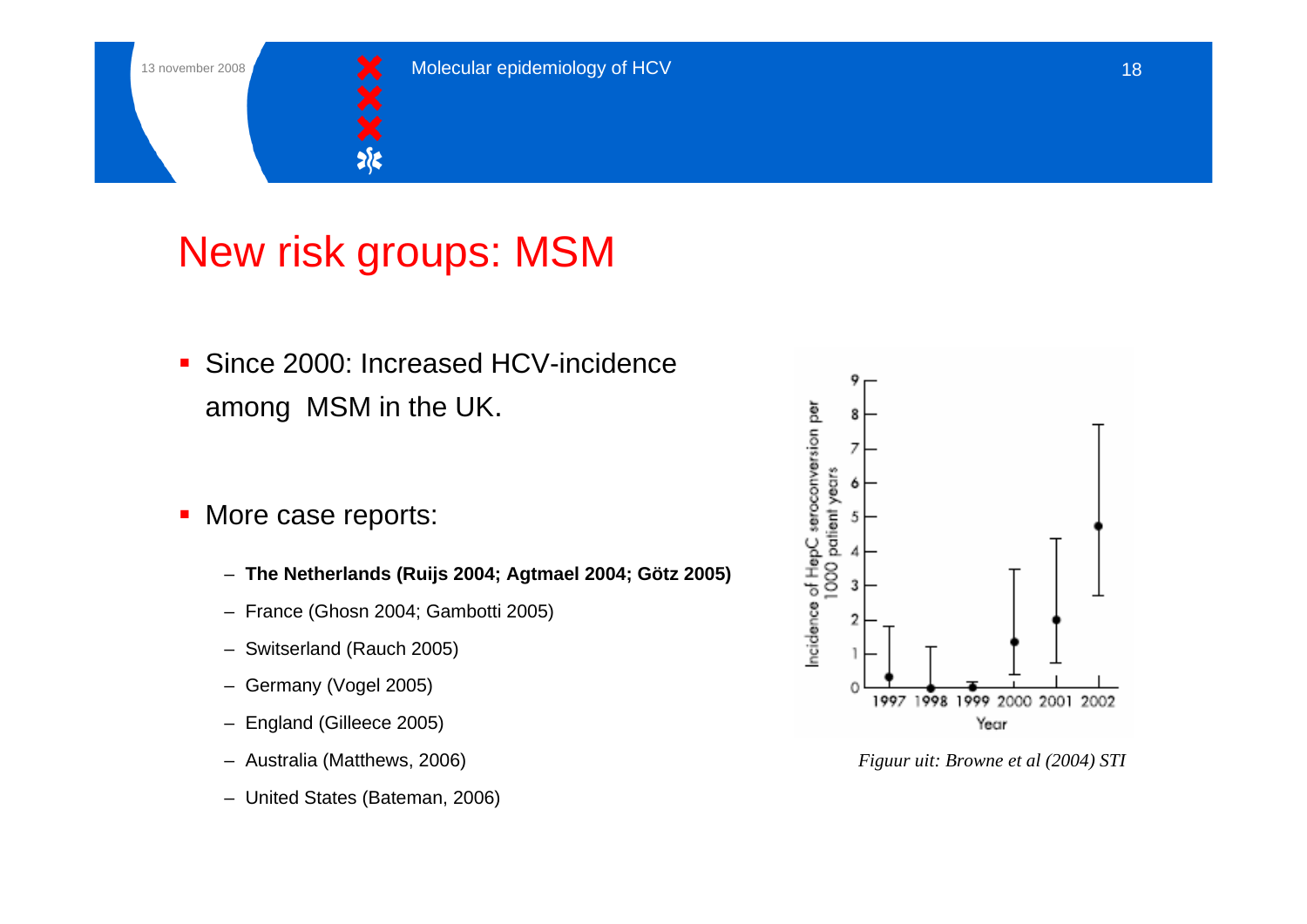![](_page_17_Picture_1.jpeg)

## New risk groups: MSM

- $\mathcal{L}_{\mathcal{A}}$  Since 2000: Increased HCV-incidenceamong MSM in the UK.
- П More case reports:
	- **The Netherlands (Ruijs 2004; Agtmael 2004; Götz 2005)**
	- France (Ghosn 2004; Gambotti 2005)
	- Switserland (Rauch 2005)
	- Germany (Vogel 2005)
	- England (Gilleece 2005)
	- Australia (Matthews, 2006)
	- United States (Bateman, 2006)

![](_page_17_Figure_13.jpeg)

*Figuur uit: Browne et al (2004) STI*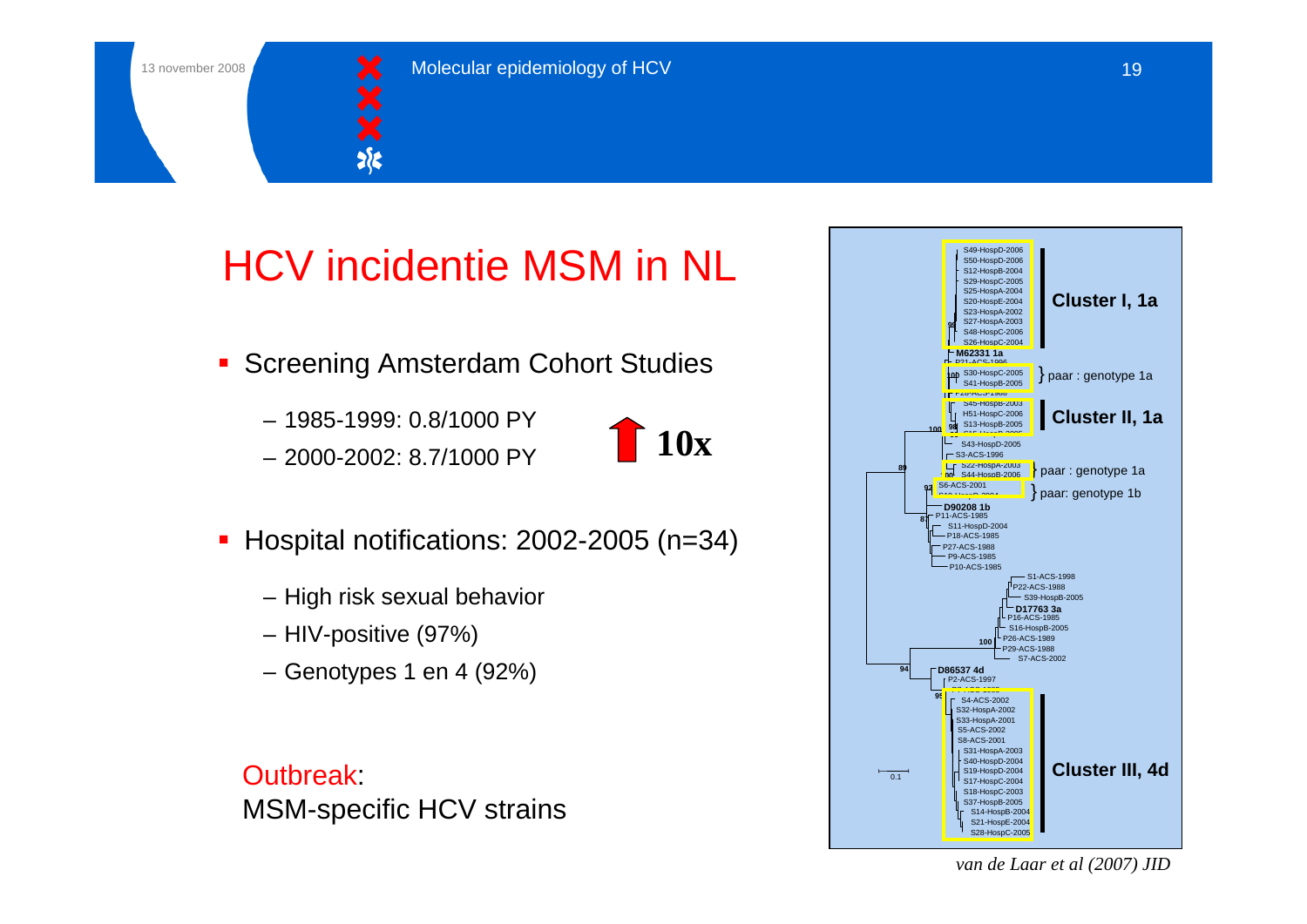![](_page_18_Picture_1.jpeg)

# HCV incidentie MSM in NL

- **Screening Amsterdam Cohort Studies** 
	- 1985-1999: 0.8/1000 PY
	- 2000-2002: 8.7/1000 PY

![](_page_18_Figure_7.jpeg)

- П Hospital notifications: 2002-2005 (n=34)
	- High risk sexual behavior
	- HIV-positive (97%)
	- Genotypes 1 en 4 (92%)

**Outbreak** MSM-specific HCV strains

![](_page_18_Figure_13.jpeg)

*van de Laar et al (2007) JID*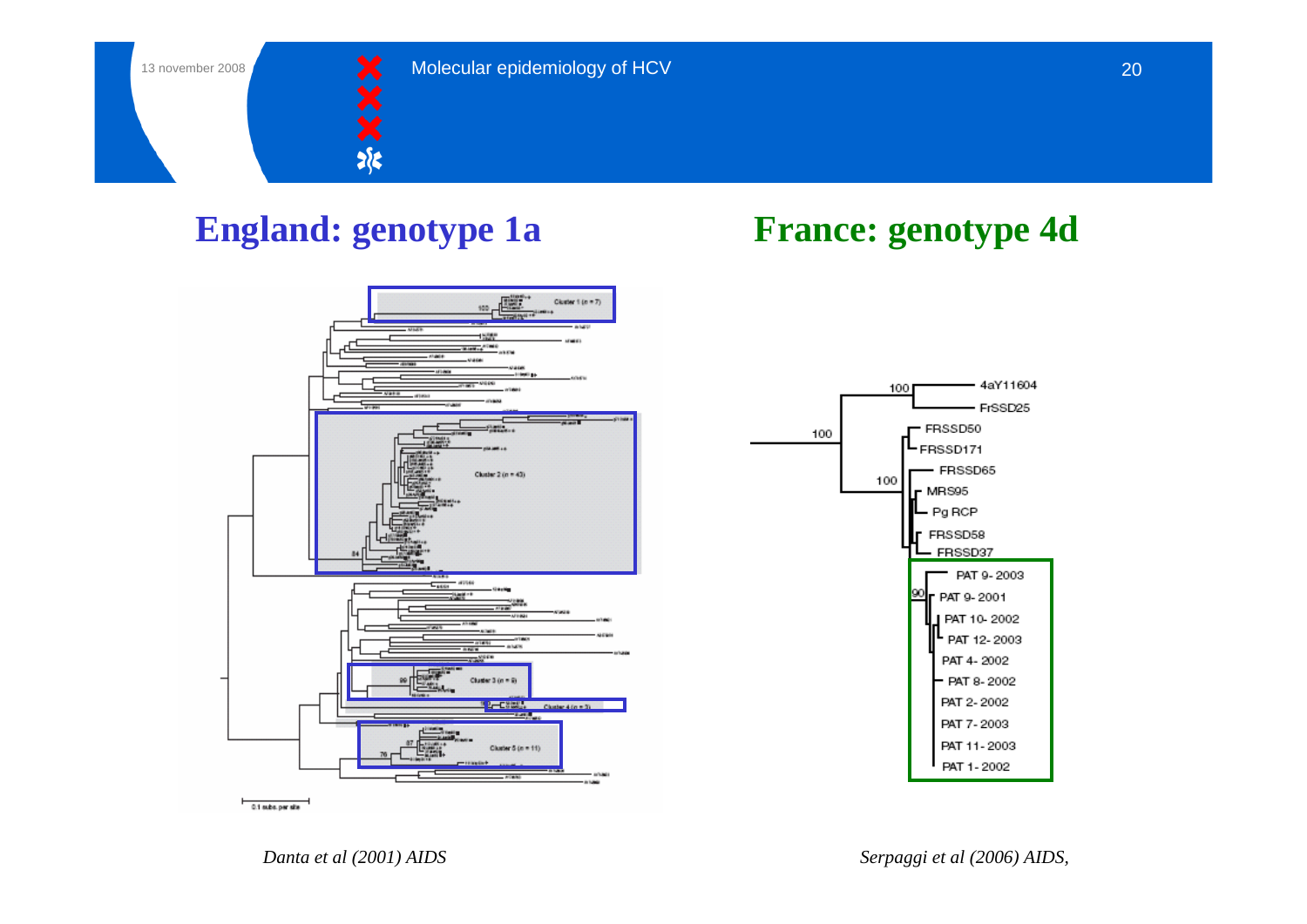![](_page_19_Picture_1.jpeg)

![](_page_19_Figure_4.jpeg)

![](_page_19_Figure_5.jpeg)

![](_page_19_Figure_6.jpeg)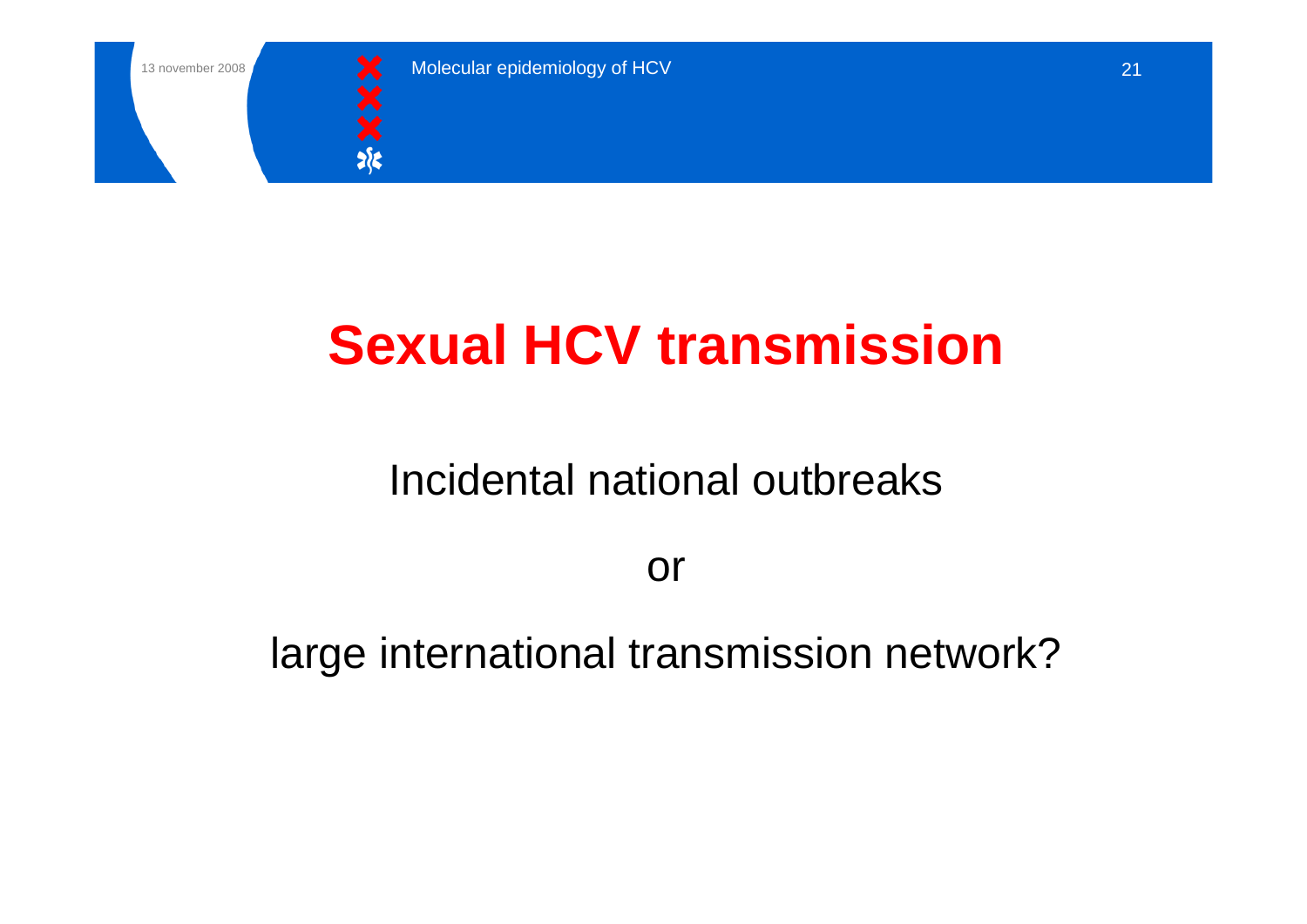![](_page_20_Picture_0.jpeg)

![](_page_20_Picture_1.jpeg)

# **Sexual HCV transmission**

# Incidental national outbreaks

or

large international transmission network?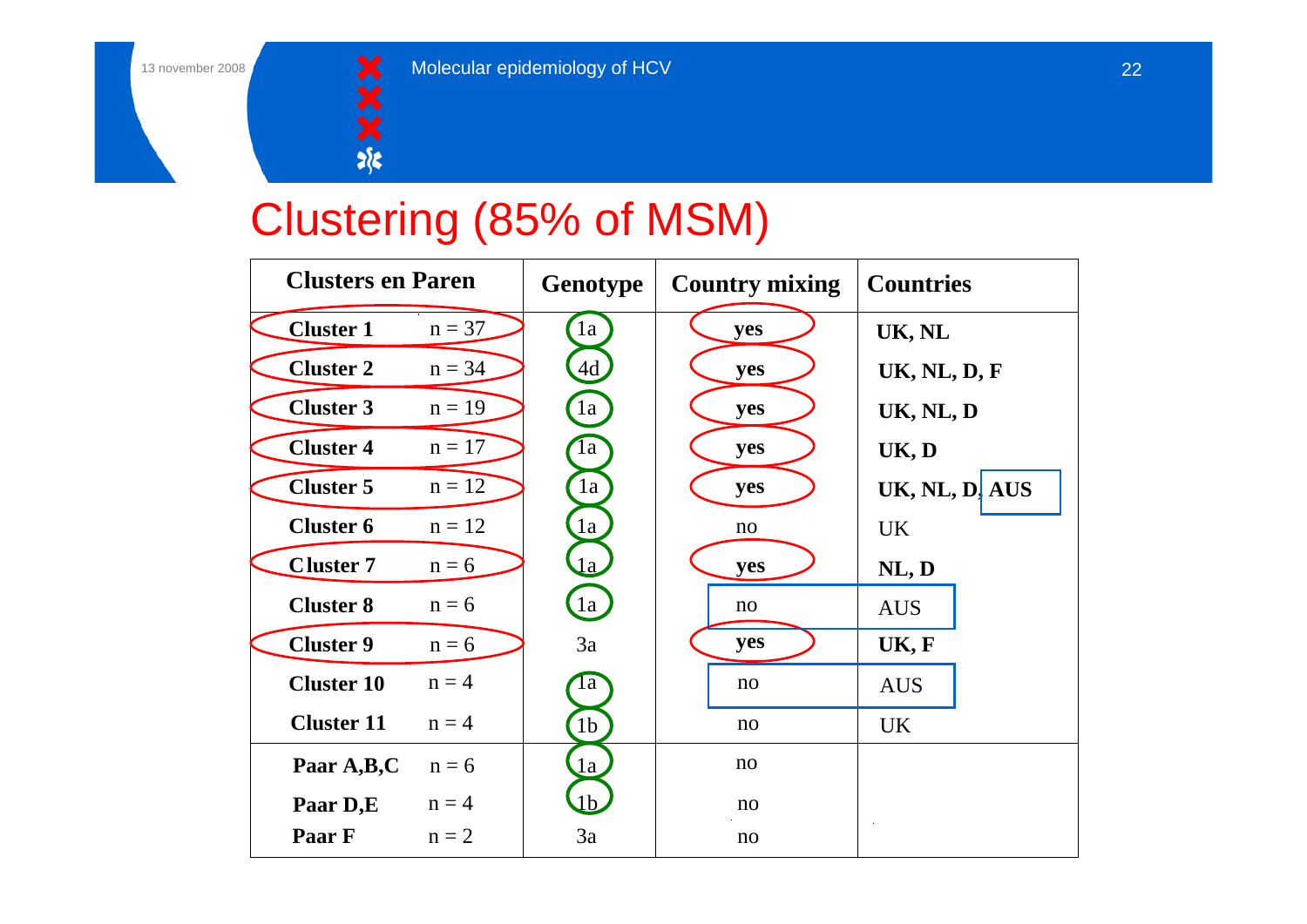![](_page_21_Picture_1.jpeg)

# Clustering (85% of MSM)

| <b>Clusters en Paren</b> |          | Genotype          | <b>Country mixing</b> | <b>Countries</b>    |
|--------------------------|----------|-------------------|-----------------------|---------------------|
| <b>Cluster 1</b>         | $n = 37$ | 1a                | yes                   | UK, NL              |
| <b>Cluster 2</b>         | $n = 34$ | 4d                | yes                   | <b>UK, NL, D, F</b> |
| <b>Cluster 3</b>         | $n = 19$ | $\left(1a\right)$ | yes                   | UK, NL, D           |
| <b>Cluster 4</b>         | $n = 17$ | la                | yes                   | UK, D               |
| <b>Cluster 5</b>         | $n = 12$ | 1a                | yes                   | UK, NL, D. AUS      |
| <b>Cluster 6</b>         | $n = 12$ | 1a                | no                    | <b>UK</b>           |
| <b>Cluster 7</b>         | $n = 6$  | $\overline{a}$    | yes                   | NL, D               |
| <b>Cluster 8</b>         | $n = 6$  | la                | no                    | <b>AUS</b>          |
| <b>Cluster 9</b>         | $n = 6$  | 3a                | yes                   | UK, F               |
| <b>Cluster 10</b>        | $n = 4$  | 1a                | no                    | <b>AUS</b>          |
| <b>Cluster 11</b>        | $n = 4$  | 1 <sub>b</sub>    | no                    | <b>UK</b>           |
| Paar A,B,C               | $n = 6$  | 1a                | no                    |                     |
| Paar D,E                 | $n = 4$  | 1 <sub>b</sub>    | no                    |                     |
| Paar F                   | $n = 2$  | 3a                | no                    |                     |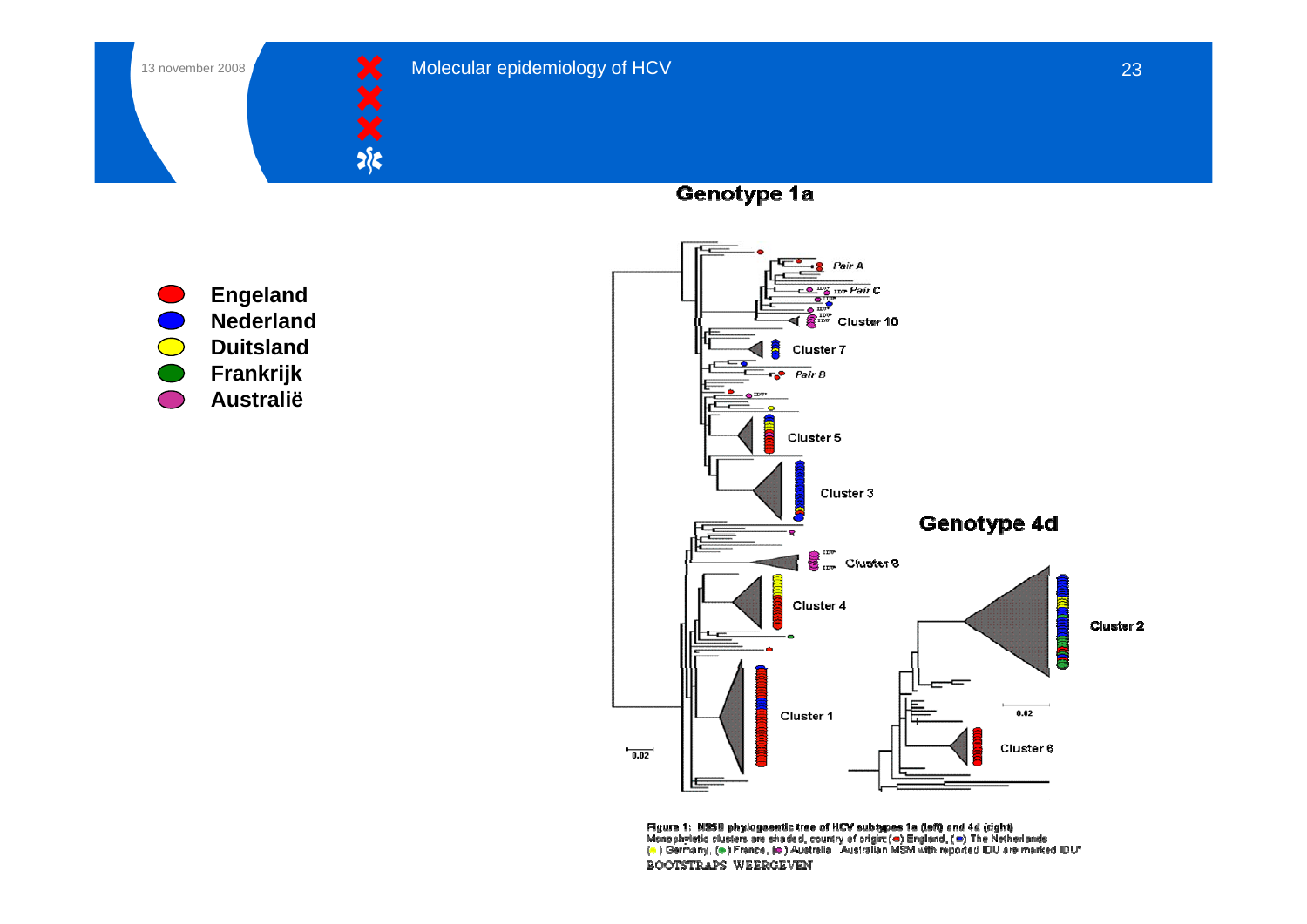![](_page_22_Picture_0.jpeg)

 $\bigcirc$ 

 $\bigodot$ 

 $\bigcirc$ 

![](_page_22_Picture_1.jpeg)

Genotype 1a

![](_page_22_Figure_5.jpeg)

Figure 1: NSSB phylogaentic trae of HCV subtypes 1a (left) and 4d (right)<br>Monophyletic clusters are shaded, country of origin:(●) England, (●) The Netherlands<br>(●) Germany, (●) France, (●) Australia - Australian MSM with r BOOTSTRAPS WEERGEVEN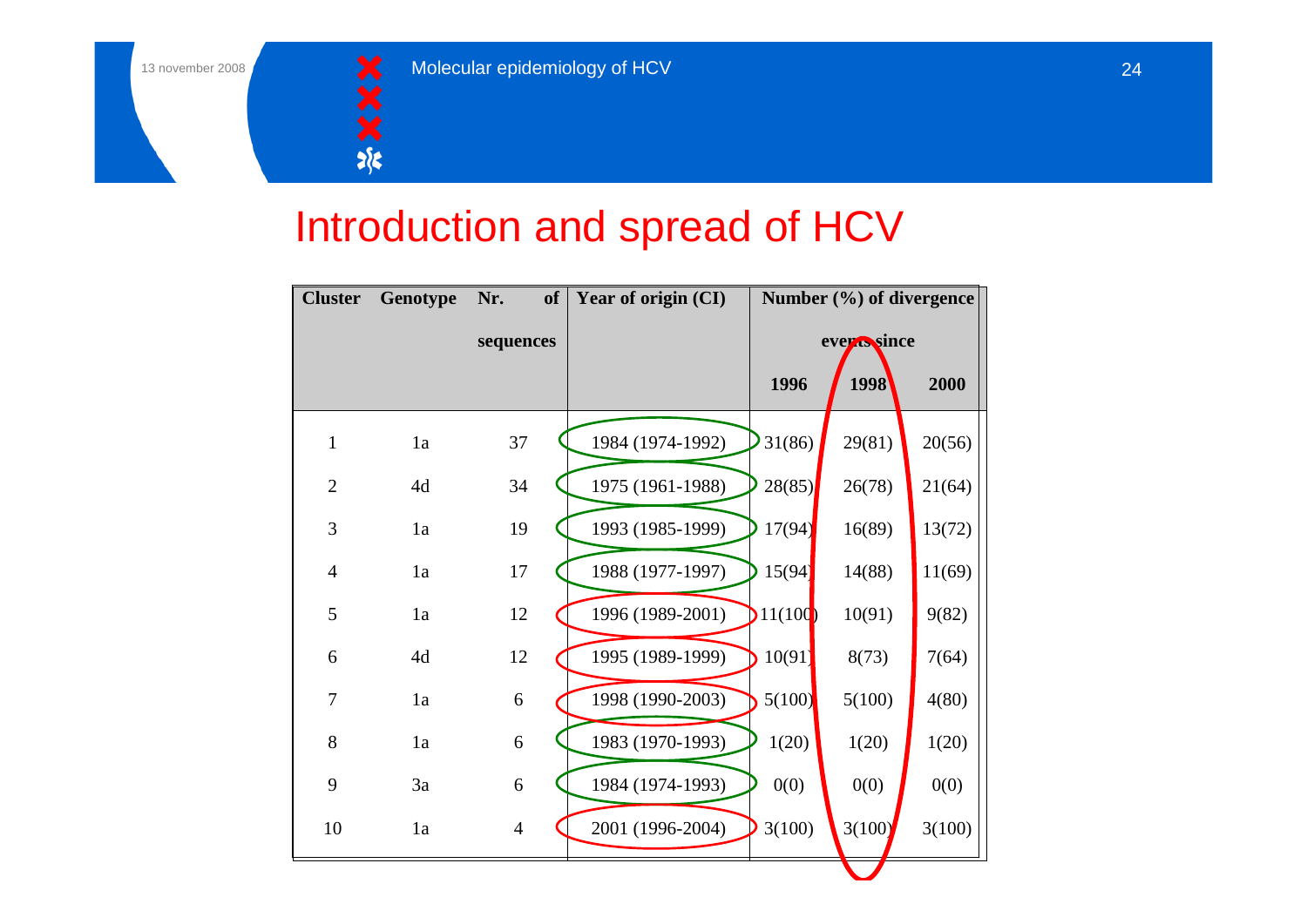![](_page_23_Picture_1.jpeg)

## Introduction and spread of HCV

| <b>Cluster</b> | Genotype | Nr.              | <b>of</b> | Year of origin (CI) |         | Number (%) of divergence |        |
|----------------|----------|------------------|-----------|---------------------|---------|--------------------------|--------|
|                |          | sequences        |           |                     |         | evertssince              |        |
|                |          |                  |           |                     | 1996    | 1998                     | 2000   |
| $\mathbf{1}$   | 1a       | 37               |           | 1984 (1974-1992)    | 31(86)  | 29(81)                   | 20(56) |
| $\overline{2}$ | 4d       | 34               |           | 1975 (1961-1988)    | 28(85)  | 26(78)                   | 21(64) |
| 3              | 1a       | 19               |           | 1993 (1985-1999)    | 17(94)  | 16(89)                   | 13(72) |
| $\overline{4}$ | 1a       | 17               |           | 1988 (1977-1997)    | 15(94)  | 14(88)                   | 11(69) |
| 5              | 1a       | 12               |           | 1996 (1989-2001)    | 11(100) | 10(91)                   | 9(82)  |
| 6              | 4d       | 12               |           | 1995 (1989-1999)    | 10(91)  | 8(73)                    | 7(64)  |
| 7              | 1a       | 6                |           | 1998 (1990-2003)    | 5(100)  | 5(100)                   | 4(80)  |
| 8              | 1a       | $\boldsymbol{6}$ |           | 1983 (1970-1993)    | 1(20)   | 1(20)                    | 1(20)  |
| 9              | 3a       | $\boldsymbol{6}$ |           | 1984 (1974-1993)    | 0(0)    | 0(0)                     | 0(0)   |
| 10             | 1a       | $\overline{4}$   |           | 2001 (1996-2004)    | 3(100)  | 3(100)                   | 3(100) |
|                |          |                  |           |                     |         |                          |        |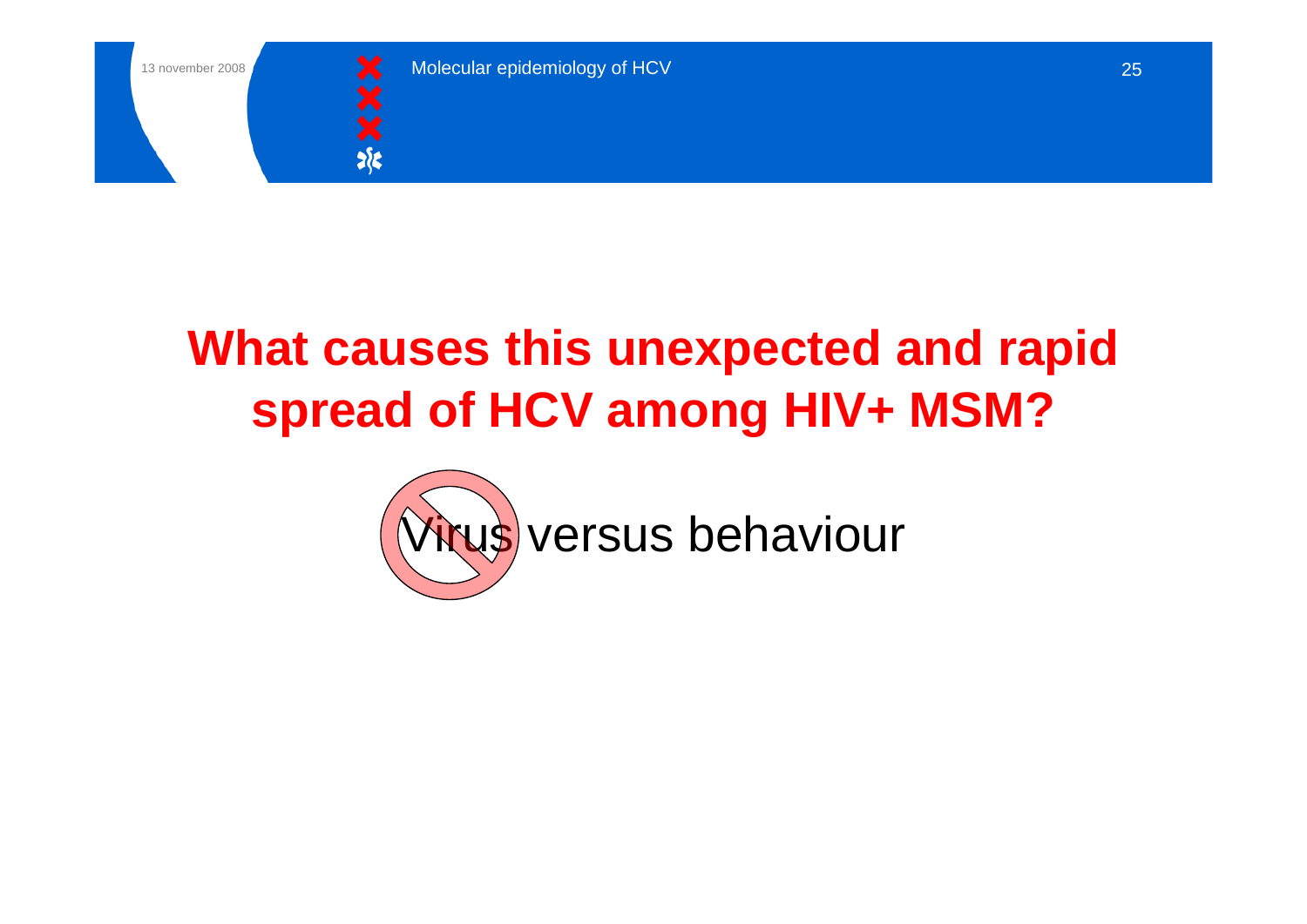![](_page_24_Picture_0.jpeg)

![](_page_24_Picture_1.jpeg)

# **What causes this unexpected and rapid spread of HCV among HIV+ MSM?**

![](_page_24_Picture_4.jpeg)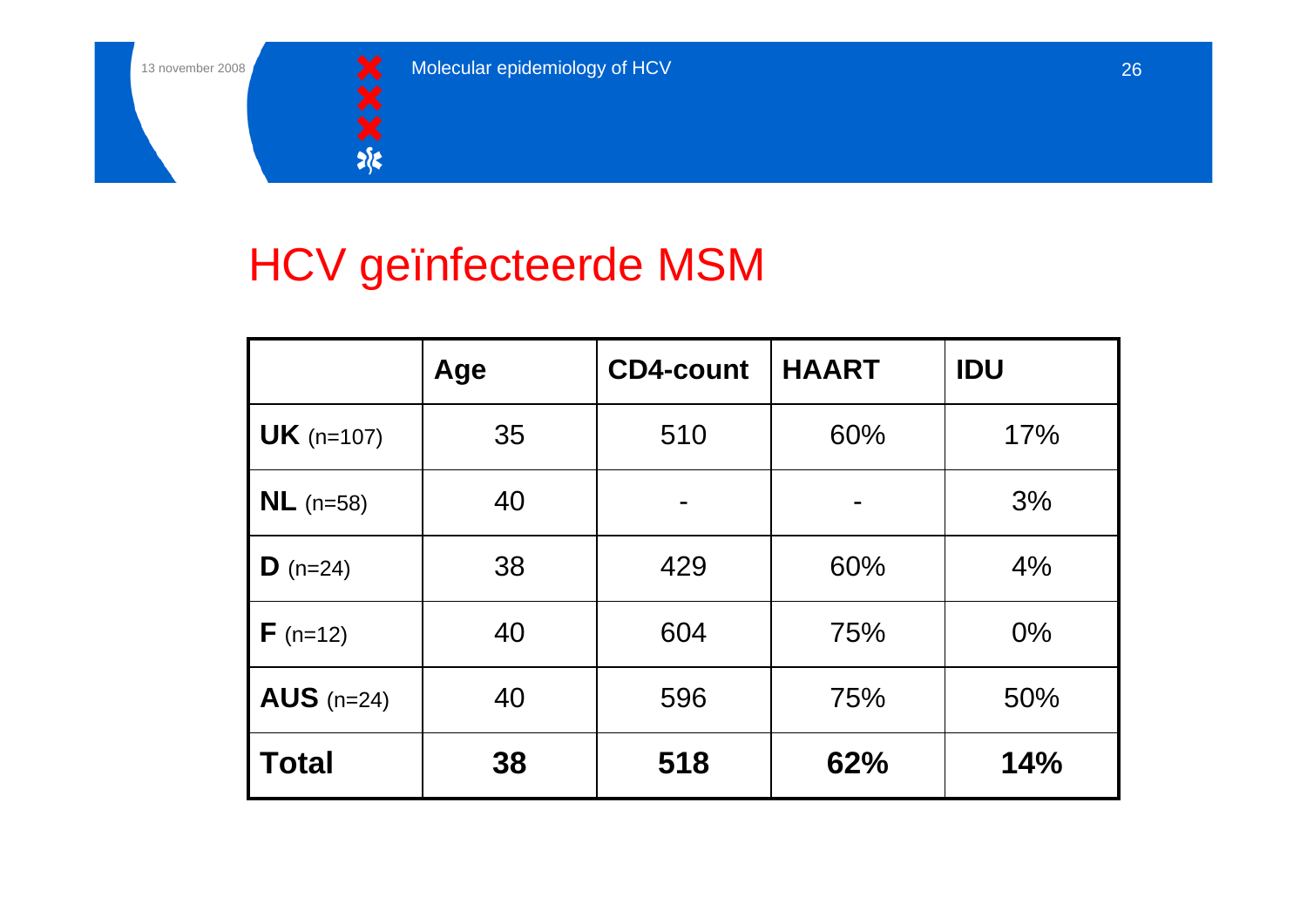![](_page_25_Picture_1.jpeg)

# HCV geïnfecteerde MSM

|                       | Age | <b>CD4-count</b> | <b>HAART</b> | <b>IDU</b> |
|-----------------------|-----|------------------|--------------|------------|
| <b>UK</b> ( $n=107$ ) | 35  | 510              | 60%          | 17%        |
| $NL$ (n=58)           | 40  | -                |              | 3%         |
| <b>D</b> ( $n=24$ )   | 38  | 429              | 60%          | 4%         |
| $F(n=12)$             | 40  | 604              | 75%          | $0\%$      |
| $AUS$ (n=24)          | 40  | 596              | 75%          | 50%        |
| <b>Total</b>          | 38  | 518              | 62%          | 14%        |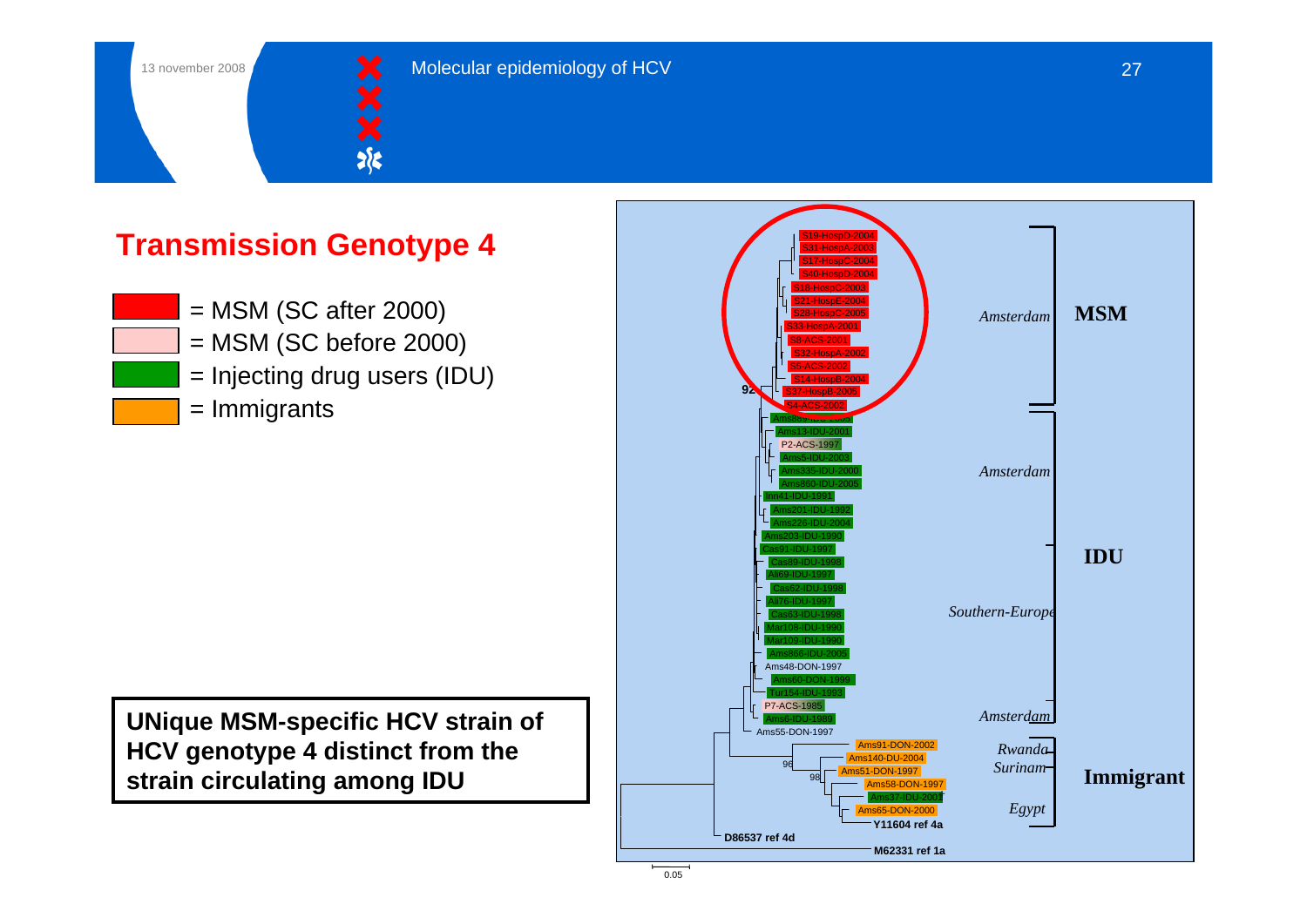![](_page_26_Picture_1.jpeg)

#### **Transmission Genotype 4**

= MSM (SC after 2000) = MSM (SC before 2000) = Injecting drug users (IDU) = Immigrants

**UNique MSM-specific HCV strain of HCV genotype 4 distinct from the strain circulating among IDU**

![](_page_26_Figure_6.jpeg)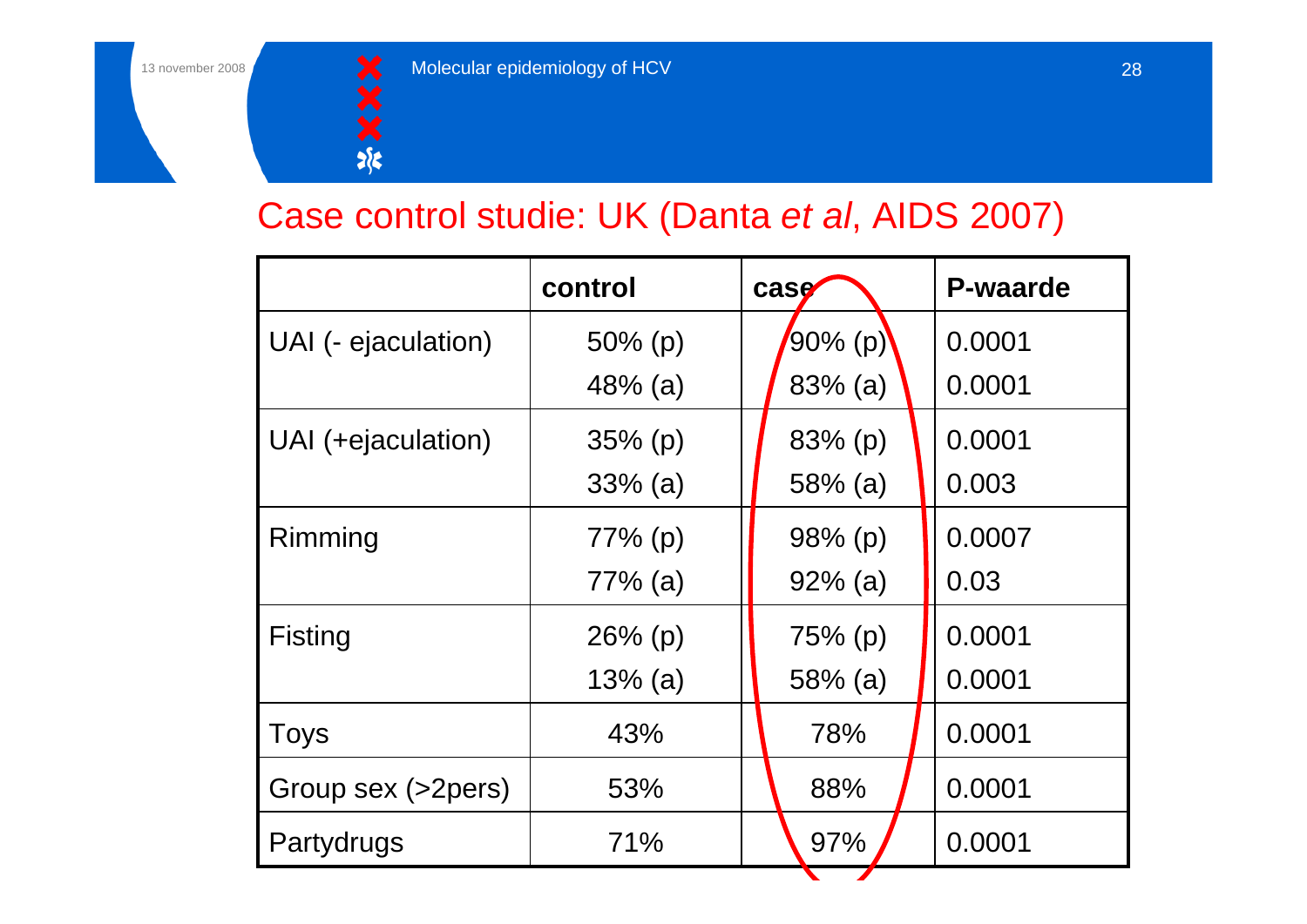![](_page_27_Picture_1.jpeg)

#### Case control studie: UK (Danta *et al*, AIDS 2007)

|                     | control    | case       | <b>P-waarde</b> |
|---------------------|------------|------------|-----------------|
| UAI (- ejaculation) | $50\%$ (p) | 90% (p)    | 0.0001          |
|                     | $48%$ (a)  | $83\%$ (a) | 0.0001          |
| UAI (+ejaculation)  | $35\%$ (p) | $83\%$ (p) | 0.0001          |
|                     | $33%$ (a)  | $58%$ (a)  | 0.003           |
| Rimming             | $77%$ (p)  | $98%$ (p)  | 0.0007          |
|                     | 77% (a)    | $92\%$ (a) | 0.03            |
| <b>Fisting</b>      | $26\%$ (p) | $75%$ (p)  | 0.0001          |
|                     | $13\%$ (a) | $58%$ (a)  | 0.0001          |
| <b>Toys</b>         | 43%        | 78%        | 0.0001          |
| Group sex (>2pers)  | 53%        | 88%        | 0.0001          |
| Partydrugs          | 71%        | 97%        | 0.0001          |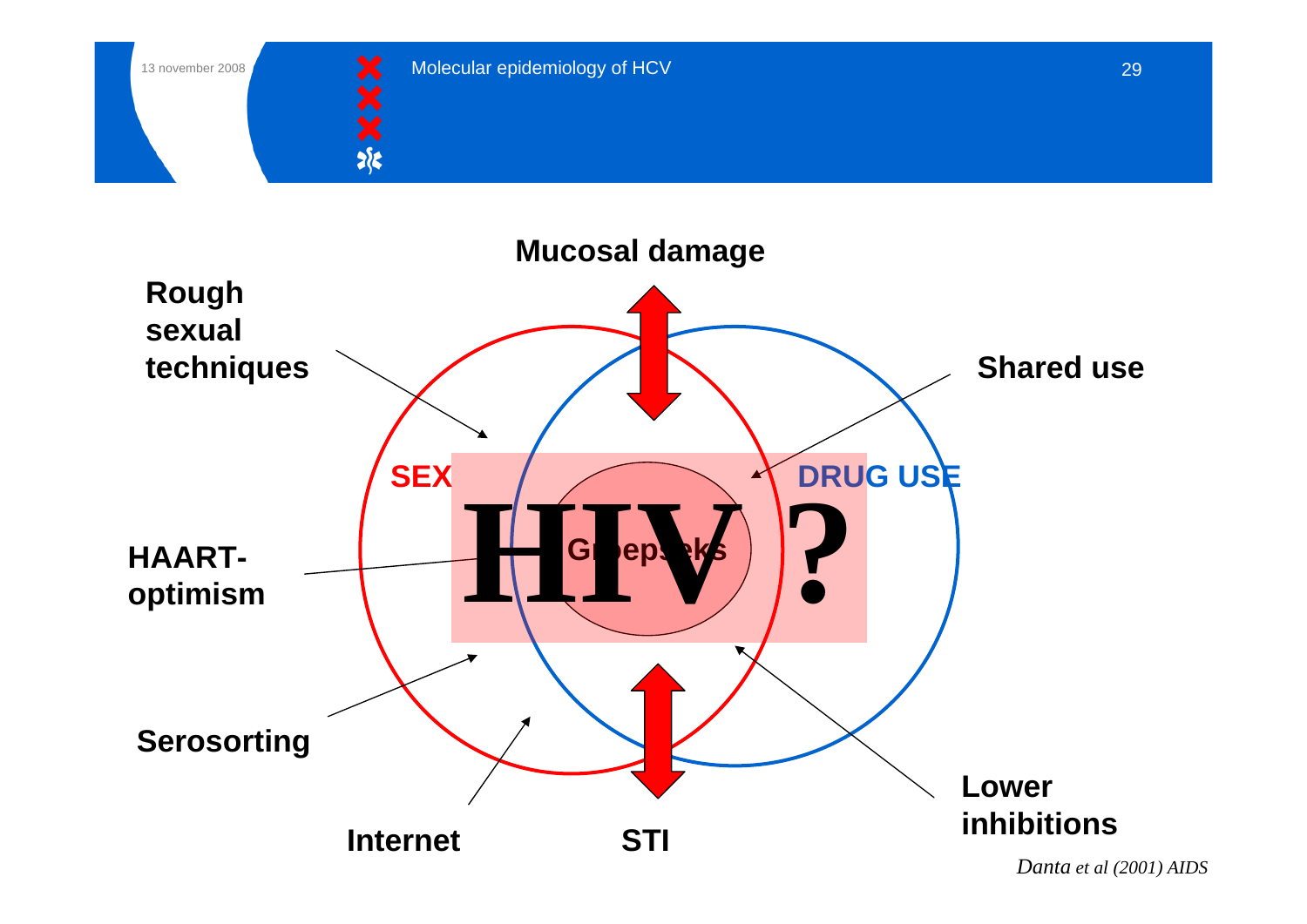![](_page_28_Picture_0.jpeg)

![](_page_28_Picture_1.jpeg)

![](_page_28_Figure_3.jpeg)

*Danta et al (2001) AIDS*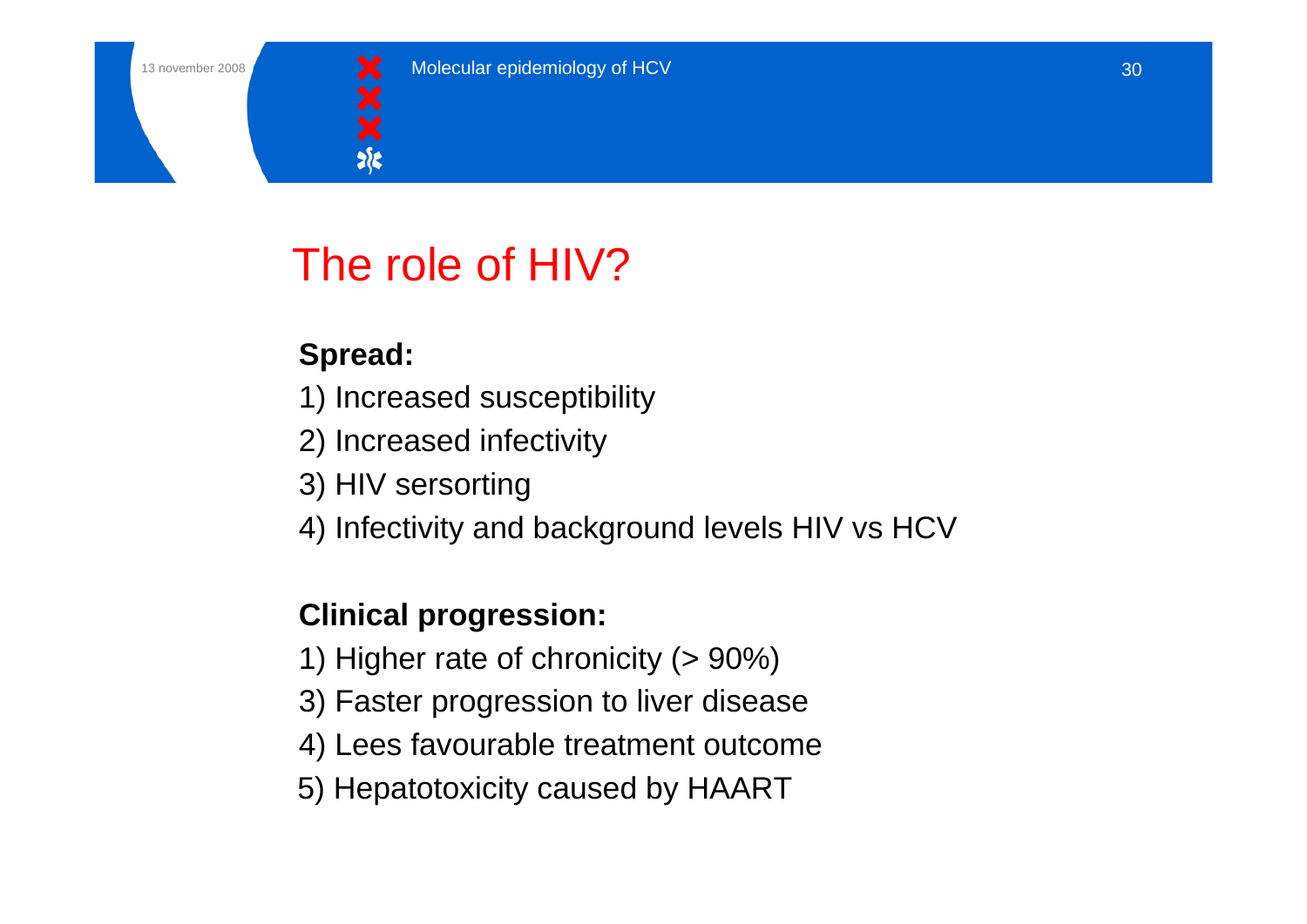![](_page_29_Picture_1.jpeg)

# The role of HIV?

#### **Spread:**

- 1) Increased susceptibility
- 2) Increased infectivity
- 3) HIV sersorting
- 4) Infectivity and background levels HIV vs HCV

#### **Clinical progression:**

- 1) Higher rate of chronicity (> 90%)
- 3) Faster progression to liver disease
- 4) Lees favourable treatment outcome
- 5) Hepatotoxicity caused by HAART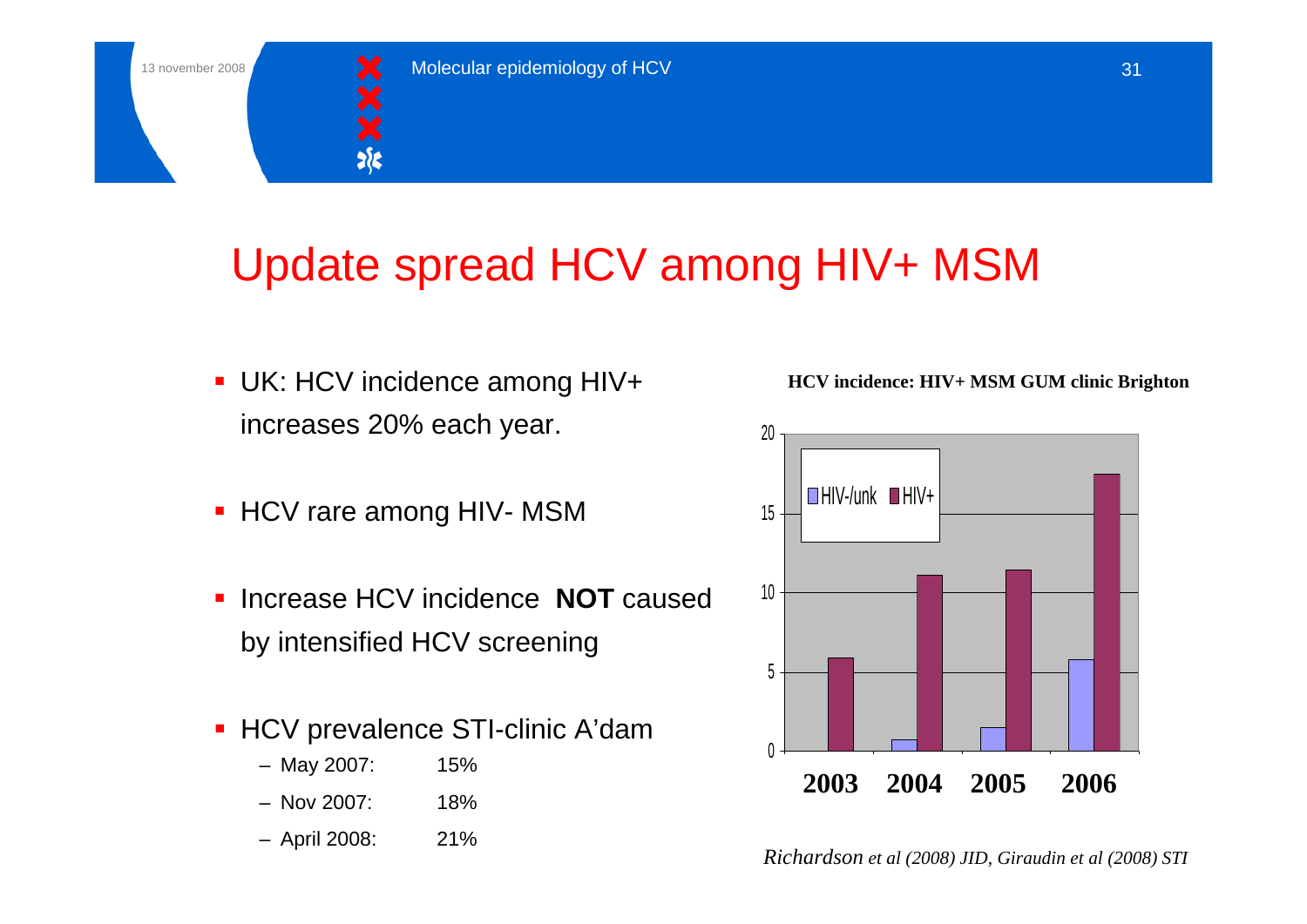![](_page_30_Picture_1.jpeg)

# Update spread HCV among HIV+ MSM

- UK: HCV incidence among HIV+ increases 20% each year.
- **HCV rare among HIV- MSM**
- $\blacksquare$  Increase HCV incidence **NOT** caused by intensified HCV screening
- HCV prevalence STI-clinic A'dam
	- May 2007: 15%
	- Nov 2007: 18%
	-

**HCV incidence: HIV+ MSM GUM clinic Brighton**

![](_page_30_Figure_12.jpeg)

– April 2008: 21% *Richardson et al (2008) JID, Giraudin et al (2008) STI*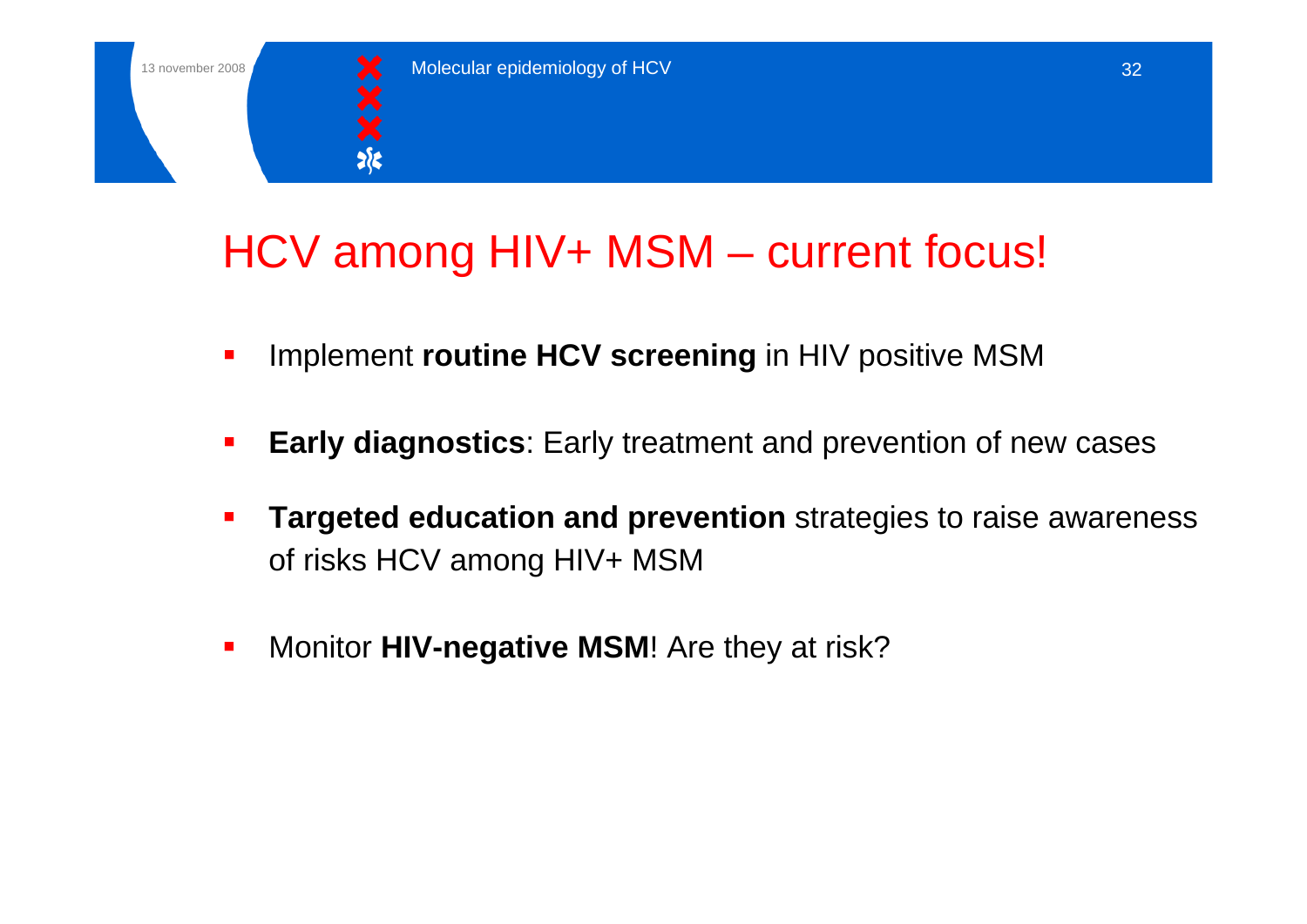![](_page_31_Picture_1.jpeg)

# HCV among HIV+ MSM – current focus!

- Implement **routine HCV screening** in HIV positive MSM
- **Early diagnostics**: Early treatment and prevention of new cases
- **Targeted education and prevention** strategies to raise awareness of risks HCV among HIV+ MSM
- $\mathcal{L}_{\mathcal{A}}$ Monitor **HIV-negative MSM**! Are they at risk?